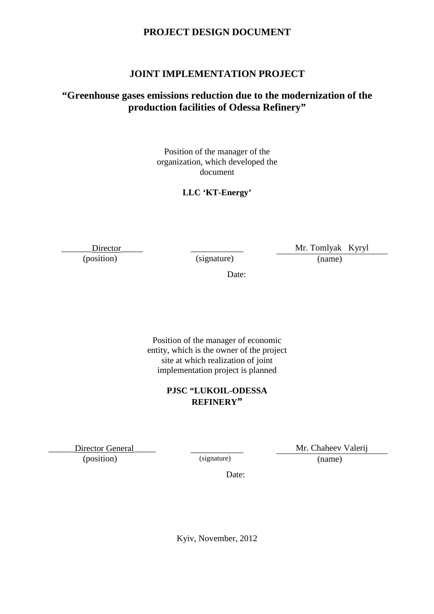# **PROJECT DESIGN DOCUMENT**

# **JOINT IMPLEMENTATION PROJECT**

# **"Greenhouse gases emissions reduction due to the modernization of the production facilities of Odessa Refinery"**

Position of the manager of the organization, which developed the document

# **LLC 'KT-Energy'**

Director\_\_\_\_\_\_ (position)

\_\_\_\_\_\_\_\_\_\_\_\_ (signature)

Mr. Tomlyak Kyryl (name)

Date:

Position of the manager of economic entity, which is the owner of the project site at which realization of joint implementation project is planned

# **PJSC "LUKOIL-ODESSA REFINERY"**

Director General

(position)

\_\_\_\_\_\_\_\_\_\_\_\_ (signature)

Mr. Chaheev Valerij

(name)

Date:

Kyiv, November, 2012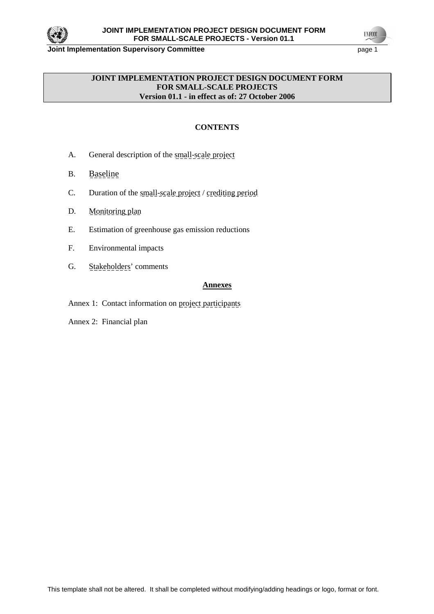

**UNFCCO** 

### **JOINT IMPLEMENTATION PROJECT DESIGN DOCUMENT FORM FOR SMALL-SCALE PROJECTS Version 01.1 - in effect as of: 27 October 2006**

# **CONTENTS**

- A. General description of the small-scale project
- B. Baseline
- C. Duration of the small-scale project / crediting period
- D. Monitoring plan
- E. Estimation of greenhouse gas emission reductions
- F. Environmental impacts
- G. Stakeholders' comments

# **Annexes**

Annex 1: Contact information on project participants

Annex 2: Financial plan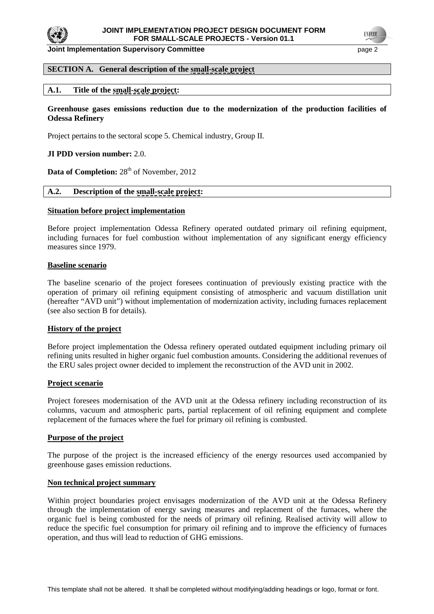

### **SECTION A. General description of the small-scale project**

### **A.1. Title of the small-scale project:**

### **Greenhouse gases emissions reduction due to the modernization of the production facilities of Odessa Refinery**

Project pertains to the sectoral scope 5. Chemical industry, Group II.

#### **JI PDD version number:** 2.0.

**Data of Completion:** 28<sup>th</sup> of November, 2012

### **A.2. Description of the small-scale project:**

#### **Situation before project implementation**

Before project implementation Odessa Refinery operated outdated primary oil refining equipment, including furnaces for fuel combustion without implementation of any significant energy efficiency measures since 1979.

#### **Baseline scenario**

The baseline scenario of the project foresees continuation of previously existing practice with the operation of primary oil refining equipment consisting of atmospheric and vacuum distillation unit (hereafter "AVD unit") without implementation of modernization activity, including furnaces replacement (see also section B for details).

#### **History of the project**

Before project implementation the Odessa refinery operated outdated equipment including primary oil refining units resulted in higher organic fuel combustion amounts. Considering the additional revenues of the ERU sales project owner decided to implement the reconstruction of the AVD unit in 2002.

#### **Project scenario**

Project foresees modernisation of the AVD unit at the Odessa refinery including reconstruction of its columns, vacuum and atmospheric parts, partial replacement of oil refining equipment and complete replacement of the furnaces where the fuel for primary oil refining is combusted.

#### **Purpose of the project**

The purpose of the project is the increased efficiency of the energy resources used accompanied by greenhouse gases emission reductions.

#### **Non technical project summary**

Within project boundaries project envisages modernization of the AVD unit at the Odessa Refinery through the implementation of energy saving measures and replacement of the furnaces, where the organic fuel is being combusted for the needs of primary oil refining. Realised activity will allow to reduce the specific fuel consumption for primary oil refining and to improve the efficiency of furnaces operation, and thus will lead to reduction of GHG emissions.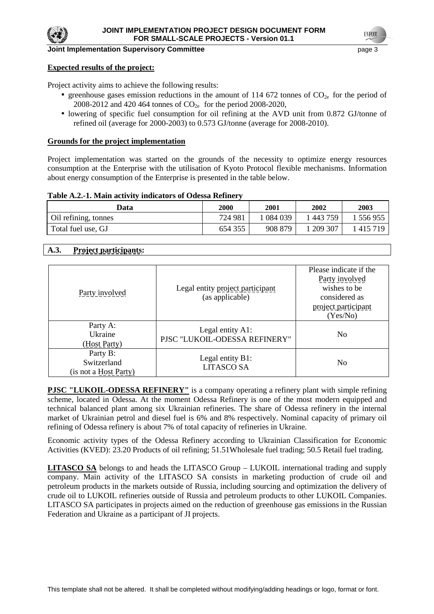

#### **Expected results of the project:**

Project activity aims to achieve the following results:

- greenhouse gases emission reductions in the amount of 114 672 tonnes of  $CO<sub>2e</sub>$  for the period of 2008-2012 and 420 464 tonnes of  $CO_{2e}$  for the period 2008-2020,
- lowering of specific fuel consumption for oil refining at the AVD unit from 0.872 GJ/tonne of refined oil (average for 2000-2003) to 0.573 GJ/tonne (average for 2008-2010).

#### **Grounds for the project implementation**

Project implementation was started on the grounds of the necessity to optimize energy resources consumption at the Enterprise with the utilisation of Kyoto Protocol flexible mechanisms. Information about energy consumption of the Enterprise is presented in the table below.

#### **Table A.2.-1. Main activity indicators of Odessa Refinery**

| Data                 | 2000    | 2001    | 2002    | 2003    |
|----------------------|---------|---------|---------|---------|
| Oil refining, tonnes | 724 981 | 084 039 | 443 759 | 556955  |
| Total fuel use, GJ   | 654 355 | 908 879 | 209 307 | 415 719 |

# **A.3. Project participants:**

| Party involved                                   | Legal entity project participant<br>(as applicable) | Please indicate if the<br>Party involved<br>wishes to be<br>considered as<br>project participant<br>(Yes/No) |
|--------------------------------------------------|-----------------------------------------------------|--------------------------------------------------------------------------------------------------------------|
| Party A:<br>Ukraine<br>(Host Party)              | Legal entity A1:<br>PISC "LUKOIL-ODESSA REFINERY"   | N <sub>0</sub>                                                                                               |
| Party B:<br>Switzerland<br>(is not a Host Party) | Legal entity B1:<br><b>LITASCO SA</b>               | N <sub>0</sub>                                                                                               |

**PJSC "LUKOIL-ODESSA REFINERY"** is a company operating a refinery plant with simple refining scheme, located in Odessa. At the moment Odessa Refinery is one of the most modern equipped and technical balanced plant among six Ukrainian refineries. The share of Odessa refinery in the internal market of Ukrainian petrol and diesel fuel is 6% and 8% respectively. Nominal capacity of primary oil refining of Odessa refinery is about 7% of total capacity of refineries in Ukraine.

Economic activity types of the Odessa Refinery according to Ukrainian Classification for Economic Activities (KVED): 23.20 Products of oil refining; 51.51Wholesale fuel trading; 50.5 Retail fuel trading.

**LITASCO SA** belongs to and heads the LITASCO Group – LUKOIL international trading and supply company. Main activity of the LITASCO SA consists in marketing production of crude oil and petroleum products in the markets outside of Russia, including sourcing and optimization the delivery of crude oil to LUKOIL refineries outside of Russia and petroleum products to other LUKOIL Companies. LITASCO SA participates in projects aimed on the reduction of greenhouse gas emissions in the Russian Federation and Ukraine as a participant of JI projects.

**UNFCO**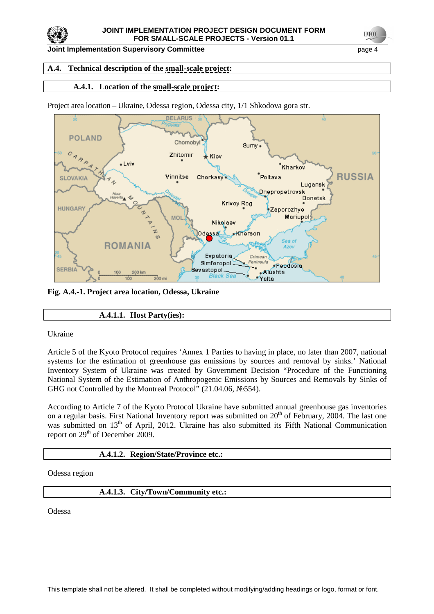

**Joint Implementation Supervisory Committee** page 4

# **A.4. Technical description of the small-scale project:**

# **A.4.1. Location of the small-scale project:**

Project area location – Ukraine, Odessa region, Odessa city, 1/1 Shkodova gora str.



**Fig. A.4.-1. Project area location, Odessa, Ukraine**

# **A.4.1.1. Host Party(ies):**

Ukraine

Article 5 of the Kyoto Protocol requires 'Annex 1 Parties to having in place, no later than 2007, national systems for the estimation of greenhouse gas emissions by sources and removal by sinks.' National Inventory System of Ukraine was created by Government Decision "Procedure of the Functioning National System of the Estimation of Anthropogenic Emissions by Sources and Removals by Sinks of GHG not Controlled by the Montreal Protocol" (21.04.06, №554).

According to Article 7 of the Kyoto Protocol Ukraine have submitted annual greenhouse gas inventories on a regular basis. First National Inventory report was submitted on  $20<sup>th</sup>$  of February, 2004. The last one was submitted on 13<sup>th</sup> of April, 2012. Ukraine has also submitted its Fifth National Communication report on 29<sup>th</sup> of December 2009.

### **A.4.1.2. Region/State/Province etc.:**

Odessa region

### **A.4.1.3. City/Town/Community etc.:**

Odessa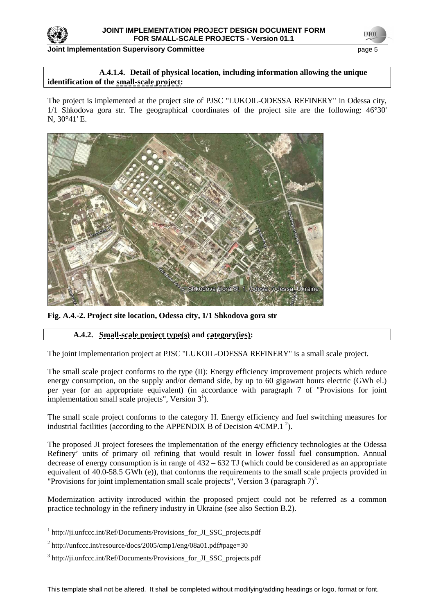

**TNFCO** 

### **A.4.1.4. Detail of physical location, including information allowing the unique identification of the small-scale project:**

The project is implemented at the project site of PJSC "LUKOIL-ODESSA REFINERY" in Odessa city, 1/1 Shkodova gora str. The geographical coordinates of the project site are the following: 46°30' N, 30°41' E.



**Fig. A.4.-2. Project site location, Odessa city, 1/1 Shkodova gora str**

# **A.4.2. Small-scale project type(s) and category(ies):**

The joint implementation project at PJSC "LUKOIL-ODESSA REFINERY" is a small scale project.

The small scale project conforms to the type (II): Energy efficiency improvement projects which reduce energy consumption, on the supply and/or demand side, by up to 60 gigawatt hours electric (GWh el.) per year (or an appropriate equivalent) (in accordance with paragraph 7 of "Provisions for joint implementation small scale projects", Version  $3<sup>1</sup>$ ).

The small scale project conforms to the category H. Energy efficiency and fuel switching measures for industrial facilities (according to the APPENDIX B of Decision  $4/CMP.1^2$ ).

The proposed JI project foresees the implementation of the energy efficiency technologies at the Odessa Refinery' units of primary oil refining that would result in lower fossil fuel consumption. Annual decrease of energy consumption is in range of  $432 - 632$  TJ (which could be considered as an appropriate equivalent of 40.0-58.5 GWh (e)), that conforms the requirements to the small scale projects provided in "Provisions for joint implementation small scale projects", Version 3 (paragraph  $7$ )<sup>3</sup>.

Modernization activity introduced within the proposed project could not be referred as a common practice technology in the refinery industry in Ukraine (see also Section B.2).

 $\overline{a}$ 

<sup>&</sup>lt;sup>1</sup> http://ji.unfccc.int/Ref/Documents/Provisions\_for\_JI\_SSC\_projects.pdf

<sup>&</sup>lt;sup>2</sup> http://unfccc.int/resource/docs/2005/cmp1/eng/08a01.pdf#page=30

<sup>&</sup>lt;sup>3</sup> http://ji.unfccc.int/Ref/Documents/Provisions\_for\_JI\_SSC\_projects.pdf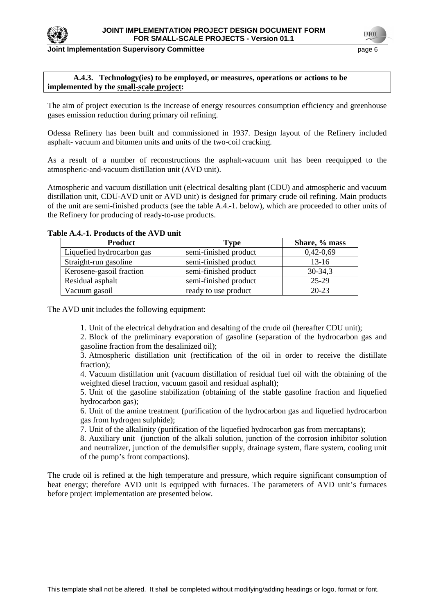

# **A.4.3. Technology(ies) to be employed, or measures, operations or actions to be implemented by the small-scale project:**

The aim of project execution is the increase of energy resources consumption efficiency and greenhouse gases emission reduction during primary oil refining.

Odessa Refinery has been built and commissioned in 1937. Design layout of the Refinery included asphalt- vacuum and bitumen units and units of the two-coil cracking.

As a result of a number of reconstructions the asphalt-vacuum unit has been reequipped to the atmospheric-and-vacuum distillation unit (AVD unit).

Atmospheric and vacuum distillation unit (electrical desalting plant (CDU) and atmospheric and vacuum distillation unit, CDU-AVD unit or AVD unit) is designed for primary crude oil refining. Main products of the unit are semi-finished products (see the table A.4.-1. below), which are proceeded to other units of the Refinery for producing of ready-to-use products.

| ме дат. причина от не другите |                       |               |
|-------------------------------|-----------------------|---------------|
| <b>Product</b>                | Type                  | Share, % mass |
| Liquefied hydrocarbon gas     | semi-finished product | $0,42-0,69$   |
| Straight-run gasoline         | semi-finished product | $13-16$       |
| Kerosene-gasoil fraction      | semi-finished product | $30 - 34,3$   |
| Residual asphalt              | semi-finished product | 25-29         |
| Vacuum gasoil                 | ready to use product  | $20 - 23$     |

# **Table A.4.-1. Products of the AVD unit**

The AVD unit includes the following equipment:

1. Unit of the electrical dehydration and desalting of the crude oil (hereafter CDU unit);

2. Block of the preliminary evaporation of gasoline (separation of the hydrocarbon gas and gasoline fraction from the desalinized oil);

3. Atmospheric distillation unit (rectification of the oil in order to receive the distillate fraction).

4. Vacuum distillation unit (vacuum distillation of residual fuel oil with the obtaining of the weighted diesel fraction, vacuum gasoil and residual asphalt);

5. Unit of the gasoline stabilization (obtaining of the stable gasoline fraction and liquefied hydrocarbon gas);

6. Unit of the amine treatment (purification of the hydrocarbon gas and liquefied hydrocarbon gas from hydrogen sulphide);

7. Unit of the alkalinity (purification of the liquefied hydrocarbon gas from mercaptans);

8. Auxiliary unit (junction of the alkali solution, junction of the corrosion inhibitor solution and neutralizer, junction of the demulsifier supply, drainage system, flare system, cooling unit of the pump's front compactions).

The crude oil is refined at the high temperature and pressure, which require significant consumption of heat energy; therefore AVD unit is equipped with furnaces. The parameters of AVD unit's furnaces before project implementation are presented below.

**UNFCO**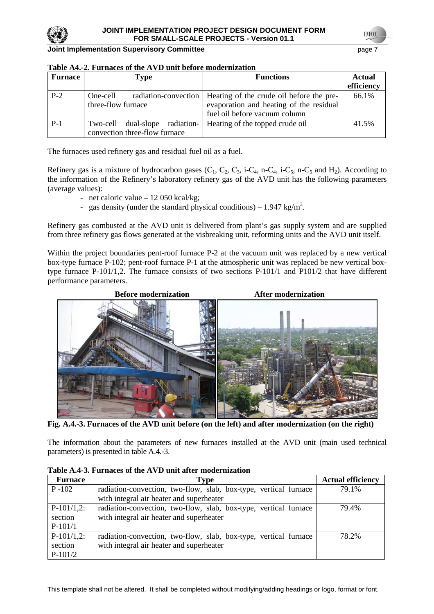

| <b>Furnace</b> | Type                                                            | <b>Functions</b>                                                                                                                            | <b>Actual</b><br>efficiency |
|----------------|-----------------------------------------------------------------|---------------------------------------------------------------------------------------------------------------------------------------------|-----------------------------|
| $P-2$          | One-cell<br>three-flow furnace                                  | radiation-convection   Heating of the crude oil before the pre-<br>evaporation and heating of the residual<br>fuel oil before vacuum column | 66.1%                       |
| $P-1$          | Two-cell dual-slope radiation-<br>convection three-flow furnace | Heating of the topped crude oil                                                                                                             | 41.5%                       |

The furnaces used refinery gas and residual fuel oil as a fuel.

Refinery gas is a mixture of hydrocarbon gases  $(C_1, C_2, C_3, i-C_4, n-C_4, i-C_5, n-C_5$  and  $H_2$ ). According to the information of the Refinery's laboratory refinery gas of the AVD unit has the following parameters (average values):

- net caloric value 12 050 kcal/kg;
- gas density (under the standard physical conditions) 1.947 kg/m<sup>3</sup>.

Refinery gas combusted at the AVD unit is delivered from plant's gas supply system and are supplied from three refinery gas flows generated at the visbreaking unit, reforming units and the AVD unit itself.

Within the project boundaries pent-roof furnace P-2 at the vacuum unit was replaced by a new vertical box-type furnace P-102; pent-roof furnace P-1 at the atmospheric unit was replaced be new vertical boxtype furnace P-101/1,2. The furnace consists of two sections P-101/1 and P101/2 that have different performance parameters.



**Fig. A.4.-3. Furnaces of the AVD unit before (on the left) and after modernization (on the right)**

The information about the parameters of new furnaces installed at the AVD unit (main used technical parameters) is presented in table A.4.-3.

| <b>Furnace</b> | Type                                                             | <b>Actual efficiency</b> |
|----------------|------------------------------------------------------------------|--------------------------|
| $P - 102$      | radiation-convection, two-flow, slab, box-type, vertical furnace | 79.1%                    |
|                | with integral air heater and superheater                         |                          |
| $P-101/1,2$ :  | radiation-convection, two-flow, slab, box-type, vertical furnace | 79.4%                    |
| section        | with integral air heater and superheater                         |                          |
| $P-101/1$      |                                                                  |                          |
| $P-101/1,2$ :  | radiation-convection, two-flow, slab, box-type, vertical furnace | 78.2%                    |
| section        | with integral air heater and superheater                         |                          |
| $P-101/2$      |                                                                  |                          |

**Table A.4-3. Furnaces of the AVD unit after modernization**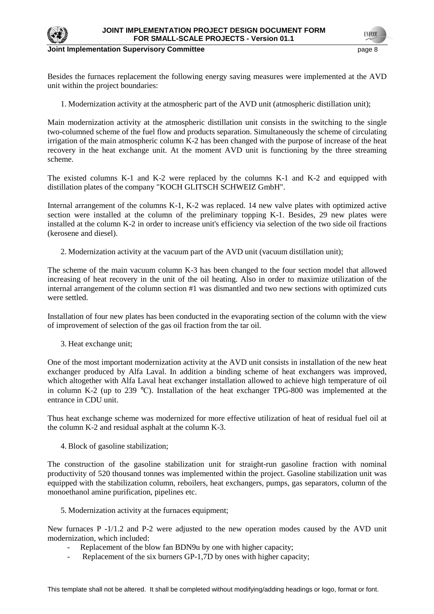

Besides the furnaces replacement the following energy saving measures were implemented at the AVD unit within the project boundaries:

1. Modernization activity at the atmospheric part of the AVD unit (atmospheric distillation unit);

Main modernization activity at the atmospheric distillation unit consists in the switching to the single two-columned scheme of the fuel flow and products separation. Simultaneously the scheme of circulating irrigation of the main atmospheric column K-2 has been changed with the purpose of increase of the heat recovery in the heat exchange unit. At the moment AVD unit is functioning by the three streaming scheme.

The existed columns K-1 and K-2 were replaced by the columns K-1 and K-2 and equipped with distillation plates of the company "KOCH GLITSCH SCHWEIZ GmbH".

Internal arrangement of the columns K-1, K-2 was replaced. 14 new valve plates with optimized active section were installed at the column of the preliminary topping K-1. Besides, 29 new plates were installed at the column K-2 in order to increase unit's efficiency via selection of the two side oil fractions (kerosene and diesel).

2. Modernization activity at the vacuum part of the AVD unit (vacuum distillation unit);

The scheme of the main vacuum column K-3 has been changed to the four section model that allowed increasing of heat recovery in the unit of the oil heating. Also in order to maximize utilization of the internal arrangement of the column section #1 was dismantled and two new sections with optimized cuts were settled.

Installation of four new plates has been conducted in the evaporating section of the column with the view of improvement of selection of the gas oil fraction from the tar oil.

3. Heat exchange unit;

One of the most important modernization activity at the AVD unit consists in installation of the new heat exchanger produced by Alfa Laval. In addition a binding scheme of heat exchangers was improved, which altogether with Alfa Laval heat exchanger installation allowed to achieve high temperature of oil in column K-2 (up to 239 °C). Installation of the heat exchanger TPG-800 was implemented at the entrance in CDU unit.

Thus heat exchange scheme was modernized for more effective utilization of heat of residual fuel oil at the column K-2 and residual asphalt at the column K-3.

4. Block of gasoline stabilization;

The construction of the gasoline stabilization unit for straight-run gasoline fraction with nominal productivity of 520 thousand tonnes was implemented within the project. Gasoline stabilization unit was equipped with the stabilization column, reboilers, heat exchangers, pumps, gas separators, column of the monoethanol amine purification, pipelines etc.

5. Modernization activity at the furnaces equipment;

New furnaces P -1/1.2 and P-2 were adjusted to the new operation modes caused by the AVD unit modernization, which included:

- Replacement of the blow fan BDN9u by one with higher capacity;
- Replacement of the six burners GP-1,7D by ones with higher capacity;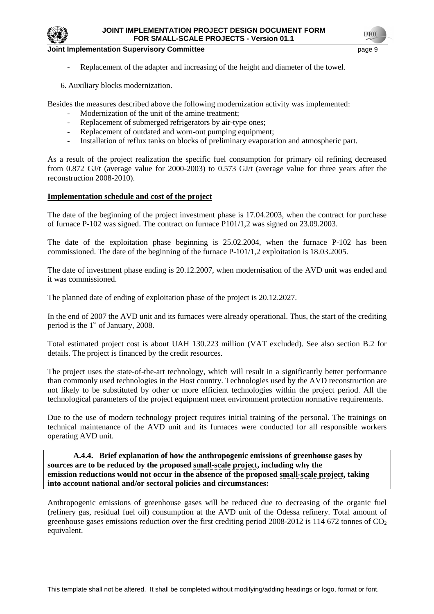

- Replacement of the adapter and increasing of the height and diameter of the towel.
- 6. Auxiliary blocks modernization.

Besides the measures described above the following modernization activity was implemented:

- Modernization of the unit of the amine treatment;
- Replacement of submerged refrigerators by air-type ones;
- Replacement of outdated and worn-out pumping equipment;
- Installation of reflux tanks on blocks of preliminary evaporation and atmospheric part.

As a result of the project realization the specific fuel consumption for primary oil refining decreased from 0.872 GJ/t (average value for 2000-2003) to 0.573 GJ/t (average value for three years after the reconstruction 2008-2010).

### **Implementation schedule and cost of the project**

The date of the beginning of the project investment phase is 17.04.2003, when the contract for purchase of furnace P-102 was signed. The contract on furnace P101/1,2 was signed on 23.09.2003.

The date of the exploitation phase beginning is 25.02.2004, when the furnace P-102 has been commissioned. The date of the beginning of the furnace P-101/1,2 exploitation is 18.03.2005.

The date of investment phase ending is 20.12.2007, when modernisation of the AVD unit was ended and it was commissioned.

The planned date of ending of exploitation phase of the project is 20.12.2027.

In the end of 2007 the AVD unit and its furnaces were already operational. Thus, the start of the crediting period is the  $1<sup>st</sup>$  of January, 2008.

Total estimated project cost is about UAH 130.223 million (VAT excluded). See also section B.2 for details. The project is financed by the credit resources.

The project uses the state-of-the-art technology, which will result in a significantly better performance than commonly used technologies in the Host country. Technologies used by the AVD reconstruction are not likely to be substituted by other or more efficient technologies within the project period. All the technological parameters of the project equipment meet environment protection normative requirements.

Due to the use of modern technology project requires initial training of the personal. The trainings on technical maintenance of the AVD unit and its furnaces were conducted for all responsible workers operating AVD unit.

 **A.4.4. Brief explanation of how the anthropogenic emissions of greenhouse gases by sources are to be reduced by the proposed small-scale project, including why the emission reductions would not occur in the absence of the proposed small-scale project, taking into account national and/or sectoral policies and circumstances:**

Anthropogenic emissions of greenhouse gases will be reduced due to decreasing of the organic fuel (refinery gas, residual fuel oil) consumption at the AVD unit of the Odessa refinery. Total amount of greenhouse gases emissions reduction over the first crediting period  $2008-2012$  is 114 672 tonnes of  $CO<sub>2</sub>$ equivalent.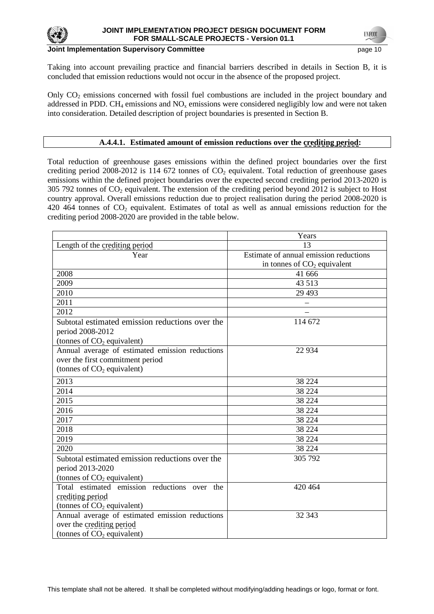

# **Joint Implementation Supervisory Committee**  page 10 and the page 10 and the page 10

Taking into account prevailing practice and financial barriers described in details in Section B, it is concluded that emission reductions would not occur in the absence of the proposed project.

Only  $CO<sub>2</sub>$  emissions concerned with fossil fuel combustions are included in the project boundary and addressed in PDD.  $CH_4$  emissions and NO<sub>x</sub> emissions were considered negligibly low and were not taken into consideration. Detailed description of project boundaries is presented in Section B.

# **A.4.4.1. Estimated amount of emission reductions over the crediting period:**

Total reduction of greenhouse gases emissions within the defined project boundaries over the first crediting period 2008-2012 is 114 672 tonnes of  $CO<sub>2</sub>$  equivalent. Total reduction of greenhouse gases emissions within the defined project boundaries over the expected second crediting period 2013-2020 is 305 792 tonnes of  $CO_2$  equivalent. The extension of the crediting period beyond 2012 is subject to Host country approval. Overall emissions reduction due to project realisation during the period 2008-2020 is 420 464 tonnes of  $CO<sub>2</sub>$  equivalent. Estimates of total as well as annual emissions reduction for the crediting period 2008-2020 are provided in the table below.

|                                                 | Years                                  |
|-------------------------------------------------|----------------------------------------|
| Length of the crediting period                  | 13                                     |
| Year                                            | Estimate of annual emission reductions |
|                                                 | in tonnes of $CO2$ equivalent          |
| 2008                                            | 41 666                                 |
| 2009                                            | 43 5 13                                |
| 2010                                            | 29 4 93                                |
| 2011                                            |                                        |
| 2012                                            |                                        |
| Subtotal estimated emission reductions over the | 114 672                                |
| period 2008-2012                                |                                        |
| (tonnes of CO <sub>2</sub> equivalent)          |                                        |
| Annual average of estimated emission reductions | 22 9 34                                |
| over the first commitment period                |                                        |
| (tonnes of $CO2$ equivalent)                    |                                        |
| 2013                                            | 38 224                                 |
| 2014                                            | 38 224                                 |
| 2015                                            | 38 224                                 |
| 2016                                            | 38 224                                 |
| 2017                                            | 38 224                                 |
| 2018                                            | 38 224                                 |
| 2019                                            | 38 224                                 |
| 2020                                            | 38 224                                 |
| Subtotal estimated emission reductions over the | 305 792                                |
| period 2013-2020                                |                                        |
| (tonnes of $CO2$ equivalent)                    |                                        |
| Total estimated emission reductions over the    | 420 464                                |
| crediting period                                |                                        |
| (tonnes of $CO2$ equivalent)                    |                                        |
| Annual average of estimated emission reductions | 32 343                                 |
| over the crediting period                       |                                        |
| (tonnes of CO <sub>2</sub> equivalent)          |                                        |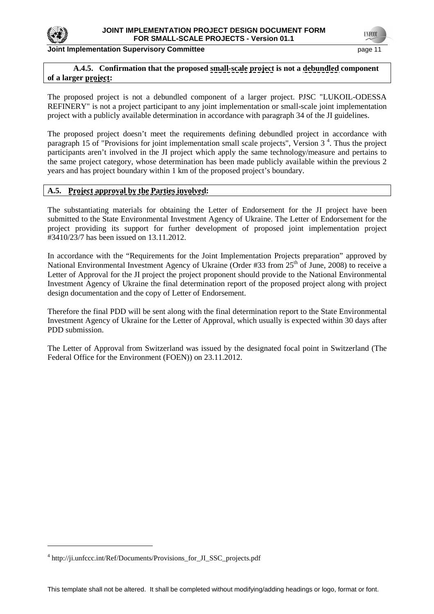

**Joint Implementation Supervisory Committee Committee** *page 11***</u>** 

**INFCC** 

# **A.4.5. Confirmation that the proposed small-scale project is not a debundled component of a larger project:**

The proposed project is not a debundled component of a larger project. PJSC "LUKOIL-ODESSA REFINERY" is not a project participant to any joint implementation or small-scale joint implementation project with a publicly available determination in accordance with paragraph 34 of the JI guidelines.

The proposed project doesn't meet the requirements defining debundled project in accordance with paragraph 15 of "Provisions for joint implementation small scale projects", Version 3<sup>4</sup>. Thus the project participants aren't involved in the JI project which apply the same technology/measure and pertains to the same project category, whose determination has been made publicly available within the previous 2 years and has project boundary within 1 km of the proposed project's boundary.

# **A.5. Project approval by the Parties involved:**

The substantiating materials for obtaining the Letter of Endorsement for the JI project have been submitted to the State Environmental Investment Agency of Ukraine. The Letter of Endorsement for the project providing its support for further development of proposed joint implementation project #3410/23/7 has been issued on 13.11.2012.

In accordance with the "Requirements for the Joint Implementation Projects preparation" approved by National Environmental Investment Agency of Ukraine (Order #33 from 25<sup>th</sup> of June, 2008) to receive a Letter of Approval for the JI project the project proponent should provide to the National Environmental Investment Agency of Ukraine the final determination report of the proposed project along with project design documentation and the copy of Letter of Endorsement.

Therefore the final PDD will be sent along with the final determination report to the State Environmental Investment Agency of Ukraine for the Letter of Approval, which usually is expected within 30 days after PDD submission.

The Letter of Approval from Switzerland was issued by the designated focal point in Switzerland (The Federal Office for the Environment (FOEN)) on 23.11.2012.

 $\overline{a}$ 

<sup>4</sup> http://ji.unfccc.int/Ref/Documents/Provisions\_for\_JI\_SSC\_projects.pdf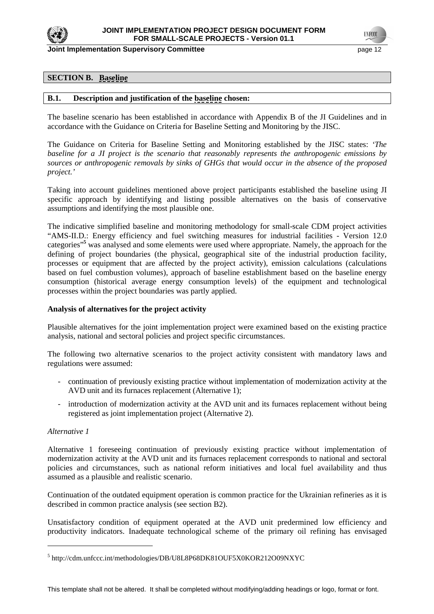

## **SECTION B. Baseline**

#### **B.1. Description and justification of the baseline chosen:**

The baseline scenario has been established in accordance with Appendix B of the JI Guidelines and in accordance with the Guidance on Criteria for Baseline Setting and Monitoring by the JISC.

The Guidance on Criteria for Baseline Setting and Monitoring established by the JISC states: *'The baseline for a JI project is the scenario that reasonably represents the anthropogenic emissions by sources or anthropogenic removals by sinks of GHGs that would occur in the absence of the proposed project.'* 

Taking into account guidelines mentioned above project participants established the baseline using JI specific approach by identifying and listing possible alternatives on the basis of conservative assumptions and identifying the most plausible one.

The indicative simplified baseline and monitoring methodology for small-scale CDM project activities "AMS-II.D.: Energy efficiency and fuel switching measures for industrial facilities - Version 12.0 categories<sup>"</sup> was analysed and some elements were used where appropriate. Namely, the approach for the defining of project boundaries (the physical, geographical site of the industrial production facility, processes or equipment that are affected by the project activity), emission calculations (calculations based on fuel combustion volumes), approach of baseline establishment based on the baseline energy consumption (historical average energy consumption levels) of the equipment and technological processes within the project boundaries was partly applied.

#### **Analysis of alternatives for the project activity**

Plausible alternatives for the joint implementation project were examined based on the existing practice analysis, national and sectoral policies and project specific circumstances.

The following two alternative scenarios to the project activity consistent with mandatory laws and regulations were assumed:

- continuation of previously existing practice without implementation of modernization activity at the AVD unit and its furnaces replacement (Alternative 1);
- introduction of modernization activity at the AVD unit and its furnaces replacement without being registered as joint implementation project (Alternative 2).

#### *Alternative 1*

 $\overline{a}$ 

Alternative 1 foreseeing continuation of previously existing practice without implementation of modernization activity at the AVD unit and its furnaces replacement corresponds to national and sectoral policies and circumstances, such as national reform initiatives and local fuel availability and thus assumed as a plausible and realistic scenario.

Continuation of the outdated equipment operation is common practice for the Ukrainian refineries as it is described in common practice analysis (see section B2).

Unsatisfactory condition of equipment operated at the AVD unit predermined low efficiency and productivity indicators. Inadequate technological scheme of the primary oil refining has envisaged

<sup>&</sup>lt;sup>5</sup> http://cdm.unfccc.int/methodologies/DB/U8L8P68DK81OUF5X0KOR212O09NXYC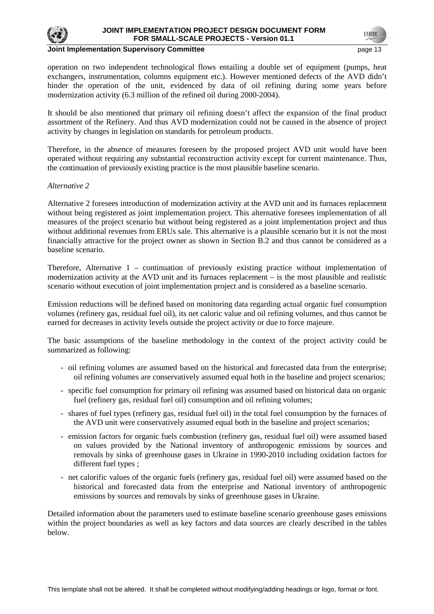

#### **Joint Implementation Supervisory Committee** *page 13* **and the page 13 and the page 13 and the page 13 and the page 13 and the page 13 and the page 13 and the page 13 and the page 13 and the page 13 and the page 13 and the**

operation on two independent technological flows entailing a double set of equipment (pumps, heat exchangers, instrumentation, columns equipment etc.). However mentioned defects of the AVD didn't hinder the operation of the unit, evidenced by data of oil refining during some years before modernization activity (6.3 million of the refined oil during 2000-2004).

It should be also mentioned that primary oil refining doesn't affect the expansion of the final product assortment of the Refinery. And thus AVD modernization could not be caused in the absence of project activity by changes in legislation on standards for petroleum products.

Therefore, in the absence of measures foreseen by the proposed project AVD unit would have been operated without requiring any substantial reconstruction activity except for current maintenance. Thus, the continuation of previously existing practice is the most plausible baseline scenario.

#### *Alternative 2*

Alternative 2 foresees introduction of modernization activity at the AVD unit and its furnaces replacement without being registered as joint implementation project. This alternative foresees implementation of all measures of the project scenario but without being registered as a joint implementation project and thus without additional revenues from ERUs sale. This alternative is a plausible scenario but it is not the most financially attractive for the project owner as shown in Section B.2 and thus cannot be considered as a baseline scenario.

Therefore, Alternative 1 – continuation of previously existing practice without implementation of modernization activity at the AVD unit and its furnaces replacement – is the most plausible and realistic scenario without execution of joint implementation project and is considered as a baseline scenario.

Emission reductions will be defined based on monitoring data regarding actual organic fuel consumption volumes (refinery gas, residual fuel oil), its net caloric value and oil refining volumes, and thus cannot be earned for decreases in activity levels outside the project activity or due to force majeure.

The basic assumptions of the baseline methodology in the context of the project activity could be summarized as following:

- oil refining volumes are assumed based on the historical and forecasted data from the enterprise; oil refining volumes are conservatively assumed equal both in the baseline and project scenarios;
- specific fuel consumption for primary oil refining was assumed based on historical data on organic fuel (refinery gas, residual fuel oil) consumption and oil refining volumes;
- shares of fuel types (refinery gas, residual fuel oil) in the total fuel consumption by the furnaces of the AVD unit were conservatively assumed equal both in the baseline and project scenarios;
- emission factors for organic fuels combustion (refinery gas, residual fuel oil) were assumed based on values provided by the National inventory of anthropogenic emissions by sources and removals by sinks of greenhouse gases in Ukraine in 1990-2010 including oxidation factors for different fuel types ;
- net calorific values of the organic fuels (refinery gas, residual fuel oil) were assumed based on the historical and forecasted data from the enterprise and National inventory of anthropogenic emissions by sources and removals by sinks of greenhouse gases in Ukraine.

Detailed information about the parameters used to estimate baseline scenario greenhouse gases emissions within the project boundaries as well as key factors and data sources are clearly described in the tables below.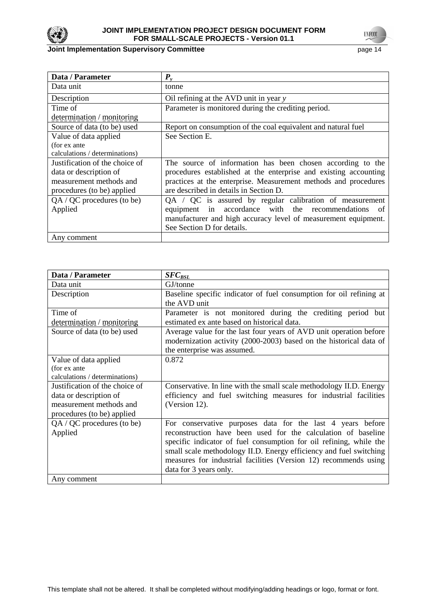

# **Joint Implementation Supervisory Committee** page 14

| Data / Parameter               | $P_{v}$                                                          |
|--------------------------------|------------------------------------------------------------------|
| Data unit                      | tonne                                                            |
| Description                    | Oil refining at the AVD unit in year y                           |
| Time of                        | Parameter is monitored during the crediting period.              |
| determination / monitoring     |                                                                  |
| Source of data (to be) used    | Report on consumption of the coal equivalent and natural fuel    |
| Value of data applied          | See Section E.                                                   |
| (for ex ante                   |                                                                  |
| calculations / determinations) |                                                                  |
| Justification of the choice of | The source of information has been chosen according to the       |
| data or description of         | procedures established at the enterprise and existing accounting |
| measurement methods and        | practices at the enterprise. Measurement methods and procedures  |
| procedures (to be) applied     | are described in details in Section D.                           |
| QA / QC procedures (to be)     | $QA / QC$ is assured by regular calibration of measurement       |
| Applied                        | accordance with the recommendations<br>equipment in<br>of        |
|                                | manufacturer and high accuracy level of measurement equipment.   |
|                                | See Section D for details.                                       |
| Any comment                    |                                                                  |

| Data / Parameter               | $SFC_{BSL}$                                                         |
|--------------------------------|---------------------------------------------------------------------|
| Data unit                      | GJ/tonne                                                            |
| Description                    | Baseline specific indicator of fuel consumption for oil refining at |
|                                | the AVD unit                                                        |
| Time of                        | Parameter is not monitored during the crediting period but          |
| determination / monitoring     | estimated ex ante based on historical data.                         |
| Source of data (to be) used    | Average value for the last four years of AVD unit operation before  |
|                                | modernization activity (2000-2003) based on the historical data of  |
|                                | the enterprise was assumed.                                         |
| Value of data applied          | 0.872                                                               |
| (for ex ante                   |                                                                     |
| calculations / determinations) |                                                                     |
| Justification of the choice of | Conservative. In line with the small scale methodology II.D. Energy |
| data or description of         | efficiency and fuel switching measures for industrial facilities    |
| measurement methods and        | (Version 12).                                                       |
| procedures (to be) applied     |                                                                     |
| $QA / QC$ procedures (to be)   | For conservative purposes data for the last 4 years before          |
| Applied                        | reconstruction have been used for the calculation of baseline       |
|                                | specific indicator of fuel consumption for oil refining, while the  |
|                                | small scale methodology II.D. Energy efficiency and fuel switching  |
|                                | measures for industrial facilities (Version 12) recommends using    |
|                                | data for 3 years only.                                              |
| Any comment                    |                                                                     |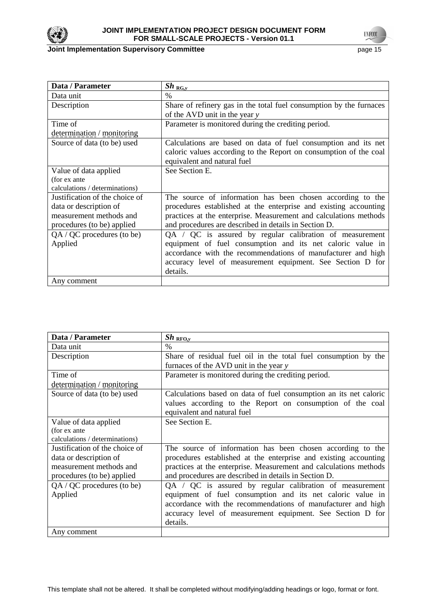

# **Joint Implementation Supervisory Committee** page 15

| Data / Parameter               | $Sh_{RG,y}$                                                         |
|--------------------------------|---------------------------------------------------------------------|
| Data unit                      | $\%$                                                                |
| Description                    | Share of refinery gas in the total fuel consumption by the furnaces |
|                                | of the AVD unit in the year y                                       |
| Time of                        | Parameter is monitored during the crediting period.                 |
| determination / monitoring     |                                                                     |
| Source of data (to be) used    | Calculations are based on data of fuel consumption and its net      |
|                                | caloric values according to the Report on consumption of the coal   |
|                                | equivalent and natural fuel                                         |
| Value of data applied          | See Section E.                                                      |
| (for ex ante                   |                                                                     |
| calculations / determinations) |                                                                     |
| Justification of the choice of | The source of information has been chosen according to the          |
| data or description of         | procedures established at the enterprise and existing accounting    |
| measurement methods and        | practices at the enterprise. Measurement and calculations methods   |
| procedures (to be) applied     | and procedures are described in details in Section D.               |
| $QA / QC$ procedures (to be)   | QA / QC is assured by regular calibration of measurement            |
| Applied                        | equipment of fuel consumption and its net caloric value in          |
|                                | accordance with the recommendations of manufacturer and high        |
|                                | accuracy level of measurement equipment. See Section D for          |
|                                | details.                                                            |
| Any comment                    |                                                                     |

| Data / Parameter               | $Sh_{RFO,y}$                                                      |
|--------------------------------|-------------------------------------------------------------------|
| Data unit                      | $\%$                                                              |
| Description                    | Share of residual fuel oil in the total fuel consumption by the   |
|                                | furnaces of the AVD unit in the year y                            |
| Time of                        | Parameter is monitored during the crediting period.               |
| determination / monitoring     |                                                                   |
| Source of data (to be) used    | Calculations based on data of fuel consumption an its net caloric |
|                                | values according to the Report on consumption of the coal         |
|                                | equivalent and natural fuel                                       |
| Value of data applied          | See Section E.                                                    |
| (for ex ante                   |                                                                   |
| calculations / determinations) |                                                                   |
| Justification of the choice of | The source of information has been chosen according to the        |
| data or description of         | procedures established at the enterprise and existing accounting  |
| measurement methods and        | practices at the enterprise. Measurement and calculations methods |
| procedures (to be) applied     | and procedures are described in details in Section D.             |
| $QA / QC$ procedures (to be)   | QA / QC is assured by regular calibration of measurement          |
| Applied                        | equipment of fuel consumption and its net caloric value in        |
|                                | accordance with the recommendations of manufacturer and high      |
|                                | accuracy level of measurement equipment. See Section D for        |
|                                | details.                                                          |
| Any comment                    |                                                                   |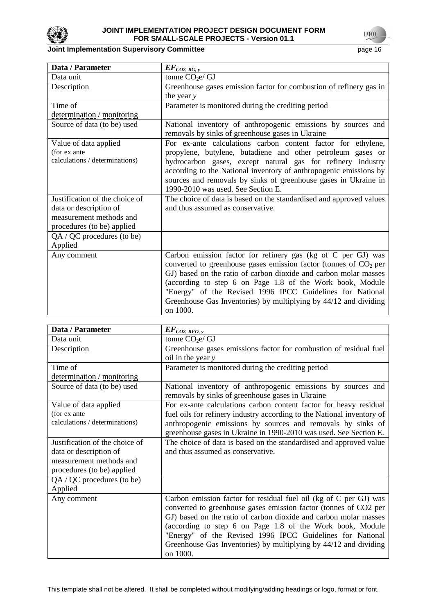

**UNFCCC** 

| Data / Parameter               | $EF_{CO2, RG, y}$                                                   |
|--------------------------------|---------------------------------------------------------------------|
| Data unit                      | tonne $CO2e/GJ$                                                     |
| Description                    | Greenhouse gases emission factor for combustion of refinery gas in  |
|                                | the year y                                                          |
| Time of                        | Parameter is monitored during the crediting period                  |
| determination / monitoring     |                                                                     |
| Source of data (to be) used    | National inventory of anthropogenic emissions by sources and        |
|                                | removals by sinks of greenhouse gases in Ukraine                    |
| Value of data applied          | For ex-ante calculations carbon content factor for ethylene,        |
| (for ex ante                   | propylene, butylene, butadiene and other petroleum gases or         |
| calculations / determinations) | hydrocarbon gases, except natural gas for refinery industry         |
|                                | according to the National inventory of anthropogenic emissions by   |
|                                | sources and removals by sinks of greenhouse gases in Ukraine in     |
|                                | 1990-2010 was used. See Section E.                                  |
| Justification of the choice of | The choice of data is based on the standardised and approved values |
| data or description of         | and thus assumed as conservative.                                   |
| measurement methods and        |                                                                     |
| procedures (to be) applied     |                                                                     |
| QA / QC procedures (to be)     |                                                                     |
| Applied                        |                                                                     |
| Any comment                    | Carbon emission factor for refinery gas (kg of C per GJ) was        |
|                                | converted to greenhouse gases emission factor (tonnes of $CO2$ per  |
|                                | GJ) based on the ratio of carbon dioxide and carbon molar masses    |
|                                | (according to step 6 on Page 1.8 of the Work book, Module           |
|                                | "Energy" of the Revised 1996 IPCC Guidelines for National           |
|                                | Greenhouse Gas Inventories) by multiplying by 44/12 and dividing    |
|                                | on 1000.                                                            |

| Data / Parameter               | $EF_{CO2, RFO, y}$                                                                                               |
|--------------------------------|------------------------------------------------------------------------------------------------------------------|
| Data unit                      | tonne $CO2e/GJ$                                                                                                  |
| Description                    | Greenhouse gases emissions factor for combustion of residual fuel                                                |
|                                | oil in the year $y$                                                                                              |
| Time of                        | Parameter is monitored during the crediting period                                                               |
| determination / monitoring     |                                                                                                                  |
| Source of data (to be) used    | National inventory of anthropogenic emissions by sources and<br>removals by sinks of greenhouse gases in Ukraine |
| Value of data applied          | For ex-ante calculations carbon content factor for heavy residual                                                |
| (for ex ante                   | fuel oils for refinery industry according to the National inventory of                                           |
| calculations / determinations) | anthropogenic emissions by sources and removals by sinks of                                                      |
|                                | greenhouse gases in Ukraine in 1990-2010 was used. See Section E.                                                |
| Justification of the choice of | The choice of data is based on the standardised and approved value                                               |
| data or description of         | and thus assumed as conservative.                                                                                |
| measurement methods and        |                                                                                                                  |
| procedures (to be) applied     |                                                                                                                  |
| QA / QC procedures (to be)     |                                                                                                                  |
| Applied                        |                                                                                                                  |
| Any comment                    | Carbon emission factor for residual fuel oil (kg of C per GJ) was                                                |
|                                | converted to greenhouse gases emission factor (tonnes of CO2 per                                                 |
|                                | GJ) based on the ratio of carbon dioxide and carbon molar masses                                                 |
|                                | (according to step 6 on Page 1.8 of the Work book, Module                                                        |
|                                | "Energy" of the Revised 1996 IPCC Guidelines for National                                                        |
|                                | Greenhouse Gas Inventories) by multiplying by 44/12 and dividing                                                 |
|                                | on 1000.                                                                                                         |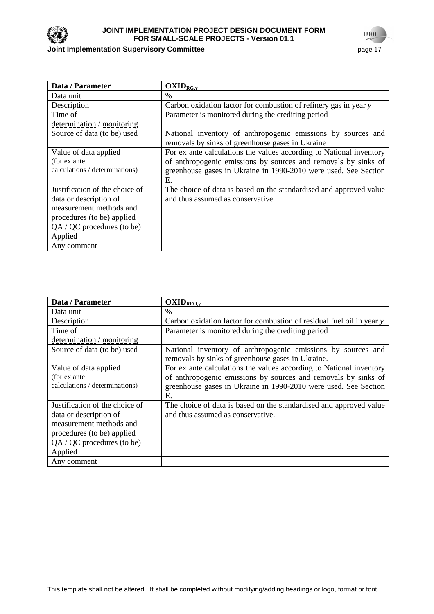

| Data / Parameter               | $OXID_{RG,y}$                                                                                                    |
|--------------------------------|------------------------------------------------------------------------------------------------------------------|
| Data unit                      | $\%$                                                                                                             |
| Description                    | Carbon oxidation factor for combustion of refinery gas in year y                                                 |
| Time of                        | Parameter is monitored during the crediting period                                                               |
| determination / monitoring     |                                                                                                                  |
| Source of data (to be) used    | National inventory of anthropogenic emissions by sources and<br>removals by sinks of greenhouse gases in Ukraine |
| Value of data applied          | For ex ante calculations the values according to National inventory                                              |
| (for ex ante)                  | of anthropogenic emissions by sources and removals by sinks of                                                   |
| calculations / determinations) | greenhouse gases in Ukraine in 1990-2010 were used. See Section<br>Е.                                            |
| Justification of the choice of | The choice of data is based on the standardised and approved value                                               |
| data or description of         | and thus assumed as conservative.                                                                                |
| measurement methods and        |                                                                                                                  |
| procedures (to be) applied     |                                                                                                                  |
| $QA / QC$ procedures (to be)   |                                                                                                                  |
| Applied                        |                                                                                                                  |
| Any comment                    |                                                                                                                  |

| Data / Parameter                                                                                                  | $OXID_{RFQ,y}$                                                                                                                                                                                                 |
|-------------------------------------------------------------------------------------------------------------------|----------------------------------------------------------------------------------------------------------------------------------------------------------------------------------------------------------------|
| Data unit                                                                                                         | $\%$                                                                                                                                                                                                           |
| Description                                                                                                       | Carbon oxidation factor for combustion of residual fuel oil in year y                                                                                                                                          |
| Time of                                                                                                           | Parameter is monitored during the crediting period                                                                                                                                                             |
| determination / monitoring                                                                                        |                                                                                                                                                                                                                |
| Source of data (to be) used                                                                                       | National inventory of anthropogenic emissions by sources and<br>removals by sinks of greenhouse gases in Ukraine.                                                                                              |
| Value of data applied<br>(for ex ante)<br>calculations / determinations)                                          | For ex ante calculations the values according to National inventory<br>of anthropogenic emissions by sources and removals by sinks of<br>greenhouse gases in Ukraine in 1990-2010 were used. See Section<br>Е. |
| Justification of the choice of<br>data or description of<br>measurement methods and<br>procedures (to be) applied | The choice of data is based on the standardised and approved value<br>and thus assumed as conservative.                                                                                                        |
| QA / QC procedures (to be)<br>Applied                                                                             |                                                                                                                                                                                                                |
| Any comment                                                                                                       |                                                                                                                                                                                                                |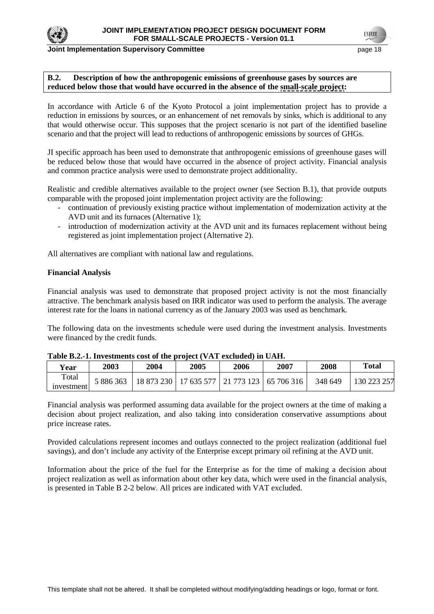

#### **Joint Implementation Supervisory Committee and Committee and Committee and Committee and Committee and Committee and Committee and Committee and Committee and Committee and Committee and Committee and Committee and Commit**

#### **B.2. Description of how the anthropogenic emissions of greenhouse gases by sources are reduced below those that would have occurred in the absence of the small-scale project:**

In accordance with Article 6 of the Kyoto Protocol a joint implementation project has to provide a reduction in emissions by sources, or an enhancement of net removals by sinks, which is additional to any that would otherwise occur. This supposes that the project scenario is not part of the identified baseline scenario and that the project will lead to reductions of anthropogenic emissions by sources of GHGs.

JI specific approach has been used to demonstrate that anthropogenic emissions of greenhouse gases will be reduced below those that would have occurred in the absence of project activity. Financial analysis and common practice analysis were used to demonstrate project additionality.

Realistic and credible alternatives available to the project owner (see Section B.1), that provide outputs comparable with the proposed joint implementation project activity are the following:

- continuation of previously existing practice without implementation of modernization activity at the AVD unit and its furnaces (Alternative 1);
- introduction of modernization activity at the AVD unit and its furnaces replacement without being registered as joint implementation project (Alternative 2).

All alternatives are compliant with national law and regulations.

#### **Financial Analysis**

Financial analysis was used to demonstrate that proposed project activity is not the most financially attractive. The benchmark analysis based on IRR indicator was used to perform the analysis. The average interest rate for the loans in national currency as of the January 2003 was used as benchmark.

The following data on the investments schedule were used during the investment analysis. Investments were financed by the credit funds.

| <b>Year</b> | 2003      | 2004 | <b>2005</b> | 2006 | 2007                                              | 2008    | Total       |
|-------------|-----------|------|-------------|------|---------------------------------------------------|---------|-------------|
| Total       | 5 886 363 |      |             |      | 18 873 230   17 635 577   21 773 123   65 706 316 | 348 649 | 130 223 257 |
| investment  |           |      |             |      |                                                   |         |             |

Financial analysis was performed assuming data available for the project owners at the time of making a decision about project realization, and also taking into consideration conservative assumptions about price increase rates.

Provided calculations represent incomes and outlays connected to the project realization (additional fuel savings), and don't include any activity of the Enterprise except primary oil refining at the AVD unit.

Information about the price of the fuel for the Enterprise as for the time of making a decision about project realization as well as information about other key data, which were used in the financial analysis, is presented in Table B 2-2 below. All prices are indicated with VAT excluded.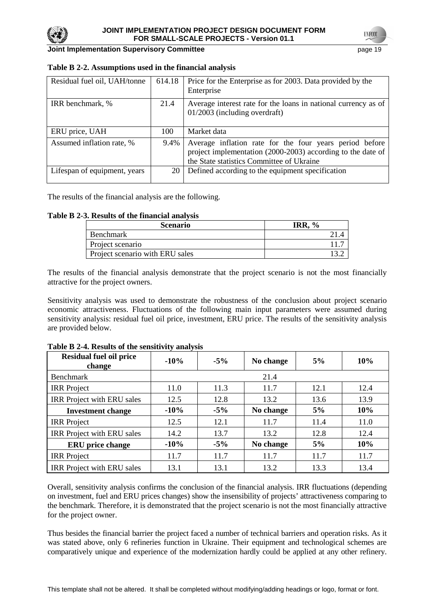

**Joint Implementation Supervisory Committee** *page 19* **and the page 19 and the page 19 and the page 19 and the page 19 and the page 19 and the page 19 and the page 19 and the page 19 and the page 19 and the page 19 and the** 

| Residual fuel oil, UAH/tonne | 614.18 | Price for the Enterprise as for 2003. Data provided by the<br>Enterprise                                                                                            |
|------------------------------|--------|---------------------------------------------------------------------------------------------------------------------------------------------------------------------|
| IRR benchmark, %             | 21.4   | Average interest rate for the loans in national currency as of<br>01/2003 (including overdraft)                                                                     |
| ERU price, UAH               | 100    | Market data                                                                                                                                                         |
| Assumed inflation rate, %    | 9.4%   | Average inflation rate for the four years period before<br>project implementation (2000-2003) according to the date of<br>the State statistics Committee of Ukraine |
| Lifespan of equipment, years | 20     | Defined according to the equipment specification                                                                                                                    |

### **Table B 2-2. Assumptions used in the financial analysis**

The results of the financial analysis are the following.

# **Table B 2-3. Results of the financial analysis**

| Scenario                        | 0<br>IR R |
|---------------------------------|-----------|
| Benchmark                       |           |
| Project scenario                |           |
| Project scenario with ERU sales |           |

The results of the financial analysis demonstrate that the project scenario is not the most financially attractive for the project owners.

Sensitivity analysis was used to demonstrate the robustness of the conclusion about project scenario economic attractiveness. Fluctuations of the following main input parameters were assumed during sensitivity analysis: residual fuel oil price, investment, ERU price. The results of the sensitivity analysis are provided below.

|  |  |  |  | Table B 2-4. Results of the sensitivity analysis |  |
|--|--|--|--|--------------------------------------------------|--|
|--|--|--|--|--------------------------------------------------|--|

| <b>Residual fuel oil price</b><br>change | $-10%$ | $-5\%$ | No change | 5%   | 10%  |  |
|------------------------------------------|--------|--------|-----------|------|------|--|
| <b>Benchmark</b>                         | 21.4   |        |           |      |      |  |
| <b>IRR</b> Project                       | 11.0   | 11.3   | 11.7      | 12.1 | 12.4 |  |
| IRR Project with ERU sales               | 12.5   | 12.8   | 13.2      | 13.6 | 13.9 |  |
| <b>Investment change</b>                 | $-10%$ | $-5\%$ | No change | 5%   | 10%  |  |
| <b>IRR</b> Project                       | 12.5   | 12.1   | 11.7      | 11.4 | 11.0 |  |
| IRR Project with ERU sales               | 14.2   | 13.7   | 13.2      | 12.8 | 12.4 |  |
| <b>ERU</b> price change                  | $-10%$ | $-5\%$ | No change | 5%   | 10%  |  |
| <b>IRR</b> Project                       | 11.7   | 11.7   | 11.7      | 11.7 | 11.7 |  |
| IRR Project with ERU sales               | 13.1   | 13.1   | 13.2      | 13.3 | 13.4 |  |

Overall, sensitivity analysis confirms the conclusion of the financial analysis. IRR fluctuations (depending on investment, fuel and ERU prices changes) show the insensibility of projects' attractiveness comparing to the benchmark. Therefore, it is demonstrated that the project scenario is not the most financially attractive for the project owner.

Thus besides the financial barrier the project faced a number of technical barriers and operation risks. As it was stated above, only 6 refineries function in Ukraine. Their equipment and technological schemes are comparatively unique and experience of the modernization hardly could be applied at any other refinery.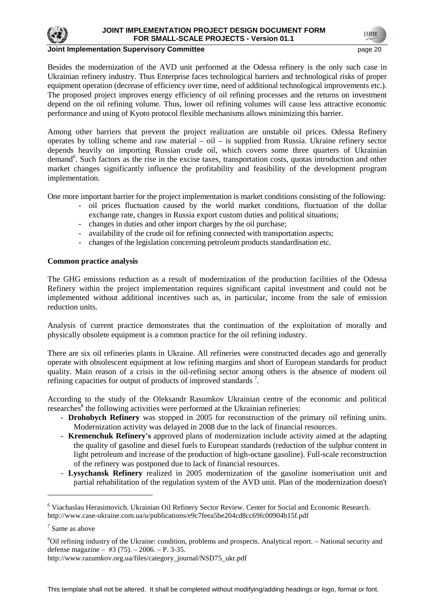

#### **Joint Implementation Supervisory Committee** *page 20* **and the page 20 and 20 and 20 and 20 and 20 and 20 and 20 and 20 and 20 and 20 and 20 and 20 and 20 and 20 and 20 and 20 and 20 and 20 and 20 and 20 and 20 and 20 and 2**

Besides the modernization of the AVD unit performed at the Odessa refinery is the only such case in Ukrainian refinery industry. Thus Enterprise faces technological barriers and technological risks of proper equipment operation (decrease of efficiency over time, need of additional technological improvements etc.). The proposed project improves energy efficiency of oil refining processes and the returns on investment depend on the oil refining volume. Thus, lower oil refining volumes will cause less attractive economic performance and using of Kyoto protocol flexible mechanisms allows minimizing this barrier.

Among other barriers that prevent the project realization are unstable oil prices. Odessa Refinery operates by tolling scheme and raw material – oil – is supplied from Russia. Ukraine refinery sector depends heavily on importing Russian crude oil, which covers some three quarters of Ukrainian demand<sup>6</sup>. Such factors as the rise in the excise taxes, transportation costs, quotas introduction and other market changes significantly influence the profitability and feasibility of the development program implementation.

One more important barrier for the project implementation is market conditions consisting of the following:

- oil prices fluctuation caused by the world market conditions, fluctuation of the dollar exchange rate, changes in Russia export custom duties and political situations;
- changes in duties and other import charges by the oil purchase;
- availability of the crude oil for refining connected with transportation aspects;
- changes of the legislation concerning petroleum products standardisation etc.

### **Common practice analysis**

The GHG emissions reduction as a result of modernization of the production facilities of the Odessa Refinery within the project implementation requires significant capital investment and could not be implemented without additional incentives such as, in particular, income from the sale of emission reduction units.

Analysis of current practice demonstrates that the continuation of the exploitation of morally and physically obsolete equipment is a common practice for the oil refining industry.

There are six oil refineries plants in Ukraine. All refineries were constructed decades ago and generally operate with obsolescent equipment at low refining margins and short of European standards for product quality. Main reason of a crisis in the oil-refining sector among others is the absence of modern oil refining capacities for output of products of improved standards<sup>7</sup>.

According to the study of the Oleksandr Rasumkov Ukrainian centre of the economic and political researches $8$  the following activities were performed at the Ukrainian refineries:

- **Drohobych Refinery** was stopped in 2005 for reconstruction of the primary oil refining units. Modernization activity was delayed in 2008 due to the lack of financial resources.
- **Kremenchuk Refinery's** approved plans of modernization include activity aimed at the adapting the quality of gasoline and diesel fuels to European standards (reduction of the sulphur content in light petroleum and increase of the production of high-octane gasoline). Full-scale reconstruction of the refinery was postponed due to lack of financial resources.
- **Lysychansk Refinery** realized in 2005 modernization of the gasoline isomerisation unit and partial rehabilitation of the regulation system of the AVD unit. Plan of the modernization doesn't

 $\overline{a}$ 

<sup>&</sup>lt;sup>6</sup> Viachaslau Herasimovich. Ukrainian Oil Refinery Sector Review. Center for Social and Economic Research. http://www.case-ukraine.com.ua/u/publications/e9c7feea5be204cd8cc69fc00904b15f.pdf

<sup>7</sup> Same as above

<sup>8</sup>Oil refining industry of the Ukraine: condition, problems and prospects. Analytical report. – National security and defense magazine – #3 (75). – 2006. – P. 3-35.

http://www.razumkov.org.ua/files/category\_journal/NSD75\_ukr.pdf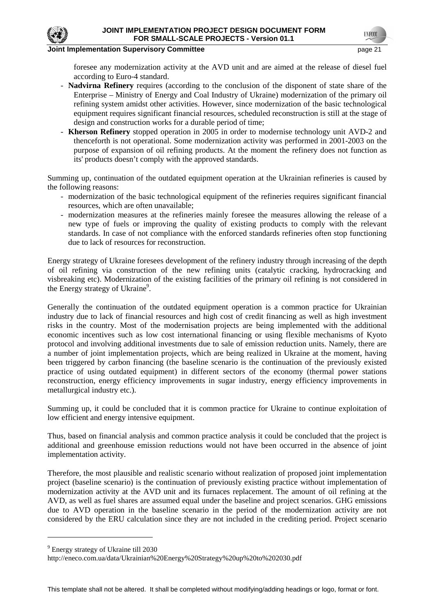### **Institute Implementation Supervisory Committee According to the Committee of the Committee Committee According to the Committee According to the Committee According to the Committee of the Committee According to the Commi**

foresee any modernization activity at the AVD unit and are aimed at the release of diesel fuel according to Euro-4 standard.

- **Nadvirna Refinery** requires (according to the conclusion of the disponent of state share of the Enterprise – Ministry of Energy and Coal Industry of Ukraine) modernization of the primary oil refining system amidst other activities. However, since modernization of the basic technological equipment requires significant financial resources, scheduled reconstruction is still at the stage of design and construction works for a durable period of time;
- **Kherson Refinery** stopped operation in 2005 in order to modernise technology unit AVD-2 and thenceforth is not operational. Some modernization activity was performed in 2001-2003 on the purpose of expansion of oil refining products. At the moment the refinery does not function as its' products doesn't comply with the approved standards.

Summing up, continuation of the outdated equipment operation at the Ukrainian refineries is caused by the following reasons:

- modernization of the basic technological equipment of the refineries requires significant financial resources, which are often unavailable;
- modernization measures at the refineries mainly foresee the measures allowing the release of a new type of fuels or improving the quality of existing products to comply with the relevant standards. In case of not compliance with the enforced standards refineries often stop functioning due to lack of resources for reconstruction.

Energy strategy of Ukraine foresees development of the refinery industry through increasing of the depth of oil refining via construction of the new refining units (catalytic cracking, hydrocracking and visbreaking etc). Modernization of the existing facilities of the primary oil refining is not considered in the Energy strategy of Ukraine<sup>9</sup>.

Generally the continuation of the outdated equipment operation is a common practice for Ukrainian industry due to lack of financial resources and high cost of credit financing as well as high investment risks in the country. Most of the modernisation projects are being implemented with the additional economic incentives such as low cost international financing or using flexible mechanisms of Kyoto protocol and involving additional investments due to sale of emission reduction units. Namely, there are a number of joint implementation projects, which are being realized in Ukraine at the moment, having been triggered by carbon financing (the baseline scenario is the continuation of the previously existed practice of using outdated equipment) in different sectors of the economy (thermal power stations reconstruction, energy efficiency improvements in sugar industry, energy efficiency improvements in metallurgical industry etc.).

Summing up, it could be concluded that it is common practice for Ukraine to continue exploitation of low efficient and energy intensive equipment.

Thus, based on financial analysis and common practice analysis it could be concluded that the project is additional and greenhouse emission reductions would not have been occurred in the absence of joint implementation activity.

Therefore, the most plausible and realistic scenario without realization of proposed joint implementation project (baseline scenario) is the continuation of previously existing practice without implementation of modernization activity at the AVD unit and its furnaces replacement. The amount of oil refining at the AVD, as well as fuel shares are assumed equal under the baseline and project scenarios. GHG emissions due to AVD operation in the baseline scenario in the period of the modernization activity are not considered by the ERU calculation since they are not included in the crediting period. Project scenario

<sup>9</sup> Energy strategy of Ukraine till 2030

http://eneco.com.ua/data/Ukrainian%20Energy%20Strategy%20up%20to%202030.pdf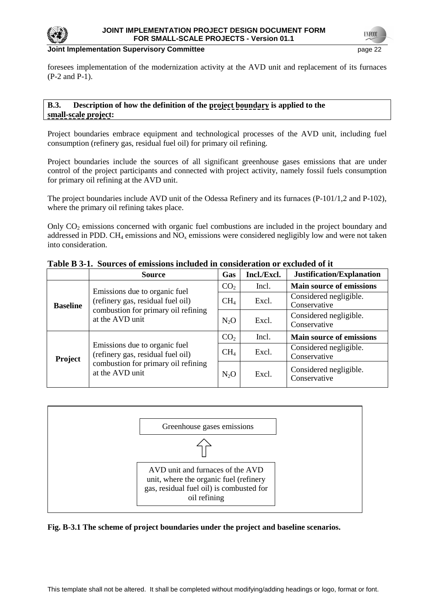

#### **Joint Implementation Supervisory Committee and Committee and Committee and Committee and Committee and Committee and Committee and Committee and Committee and Committee and Committee and Committee and Committee and Commit**

foresees implementation of the modernization activity at the AVD unit and replacement of its furnaces (P-2 and P-1).

### **B.3. Description of how the definition of the project boundary is applied to the small-scale project:**

Project boundaries embrace equipment and technological processes of the AVD unit, including fuel consumption (refinery gas, residual fuel oil) for primary oil refining.

Project boundaries include the sources of all significant greenhouse gases emissions that are under control of the project participants and connected with project activity, namely fossil fuels consumption for primary oil refining at the AVD unit.

The project boundaries include AVD unit of the Odessa Refinery and its furnaces (P-101/1,2 and P-102), where the primary oil refining takes place.

Only  $CO<sub>2</sub>$  emissions concerned with organic fuel combustions are included in the project boundary and addressed in PDD. CH<sub>4</sub> emissions and  $NO<sub>x</sub>$  emissions were considered negligibly low and were not taken into consideration.

|                 | <b>Source</b>                                                                                                                | Gas                                                                                        | Incl./Excl.                            | Justification/Explanation              |
|-----------------|------------------------------------------------------------------------------------------------------------------------------|--------------------------------------------------------------------------------------------|----------------------------------------|----------------------------------------|
|                 | Emissions due to organic fuel<br>(refinery gas, residual fuel oil)                                                           | CO <sub>2</sub>                                                                            | Incl.                                  | <b>Main source of emissions</b>        |
| <b>Baseline</b> |                                                                                                                              | CH <sub>4</sub>                                                                            | Excl.                                  | Considered negligible.<br>Conservative |
|                 | combustion for primary oil refining<br>at the AVD unit                                                                       | Excl.<br>$N_2O$<br>CO <sub>2</sub><br>Incl.<br>CH <sub>4</sub><br>Excl.<br>$N_2O$<br>Excl. | Considered negligible.<br>Conservative |                                        |
|                 |                                                                                                                              |                                                                                            |                                        | <b>Main source of emissions</b>        |
| <b>Project</b>  | Emissions due to organic fuel<br>(refinery gas, residual fuel oil)<br>combustion for primary oil refining<br>at the AVD unit |                                                                                            |                                        | Considered negligible.<br>Conservative |
|                 |                                                                                                                              |                                                                                            |                                        | Considered negligible.<br>Conservative |

# **Table B 3-1. Sources of emissions included in consideration or excluded of it**



### **Fig. B-3.1 The scheme of project boundaries under the project and baseline scenarios.**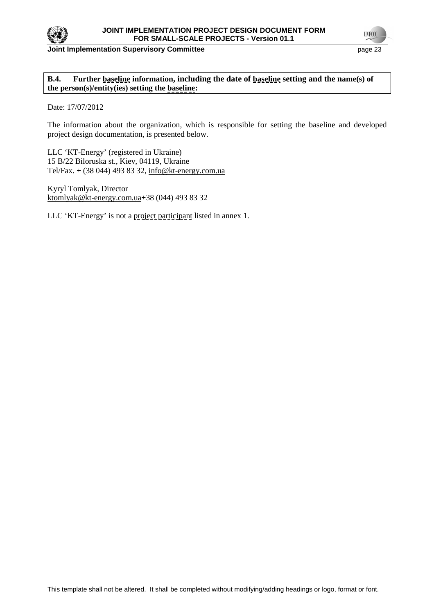

**B.4. Further baseline information, including the date of baseline setting and the name(s) of the person(s)/entity(ies) setting the baseline:** 

Date: 17/07/2012

The information about the organization, which is responsible for setting the baseline and developed project design documentation, is presented below.

LLC 'KT-Energy' (registered in Ukraine) 15 B/22 Biloruska st., Kiev, 04119, Ukraine Tel/Fax. + (38 044) 493 83 32, info@kt-energy.com.ua

Kyryl Tomlyak, Director ktomlyak@kt-energy.com.ua+38 (044) 493 83 32

LLC 'KT-Energy' is not a project participant listed in annex 1.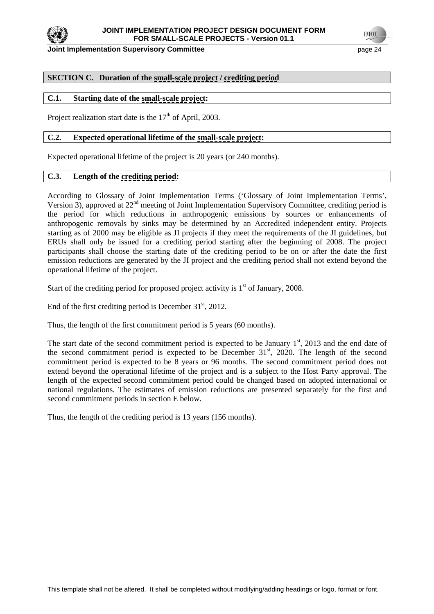

**TNFCC** 

# **SECTION C. Duration of the small-scale project / crediting period**

### **C.1. Starting date of the small-scale project:**

Project realization start date is the  $17<sup>th</sup>$  of April, 2003.

### **C.2. Expected operational lifetime of the small-scale project:**

Expected operational lifetime of the project is 20 years (or 240 months).

### **C.3. Length of the crediting period:**

According to Glossary of Joint Implementation Terms ('Glossary of Joint Implementation Terms', Version 3), approved at 22<sup>nd</sup> meeting of Joint Implementation Supervisory Committee, crediting period is the period for which reductions in anthropogenic emissions by sources or enhancements of anthropogenic removals by sinks may be determined by an Accredited independent entity. Projects starting as of 2000 may be eligible as JI projects if they meet the requirements of the JI guidelines, but ERUs shall only be issued for a crediting period starting after the beginning of 2008. The project participants shall choose the starting date of the crediting period to be on or after the date the first emission reductions are generated by the JI project and the crediting period shall not extend beyond the operational lifetime of the project.

Start of the crediting period for proposed project activity is  $1<sup>st</sup>$  of January, 2008.

End of the first crediting period is December  $31<sup>st</sup>$ , 2012.

Thus, the length of the first commitment period is 5 years (60 months).

The start date of the second commitment period is expected to be January  $1<sup>st</sup>$ , 2013 and the end date of the second commitment period is expected to be December  $31<sup>st</sup>$ , 2020. The length of the second commitment period is expected to be 8 years or 96 months. The second commitment period does not extend beyond the operational lifetime of the project and is a subject to the Host Party approval. The length of the expected second commitment period could be changed based on adopted international or national regulations. The estimates of emission reductions are presented separately for the first and second commitment periods in section E below.

Thus, the length of the crediting period is 13 years (156 months).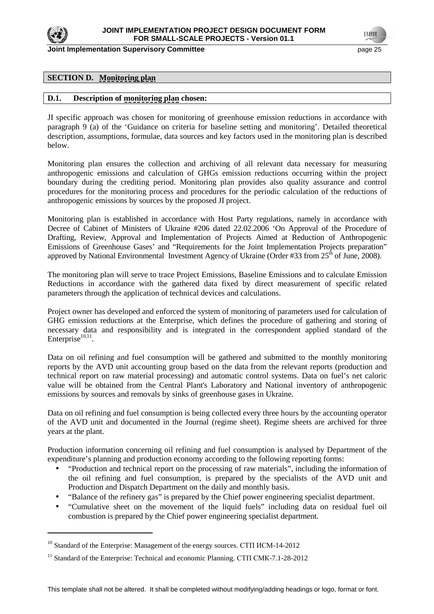

**Joint Implementation Supervisory Committee** *page 25* **and** *page 25* **and** *page 25* 

**TNFCO** 

# **SECTION D. Monitoring plan**

### **D.1. Description of monitoring plan chosen:**

JI specific approach was chosen for monitoring of greenhouse emission reductions in accordance with paragraph 9 (a) of the 'Guidance on criteria for baseline setting and monitoring'. Detailed theoretical description, assumptions, formulae, data sources and key factors used in the monitoring plan is described below.

Monitoring plan ensures the collection and archiving of all relevant data necessary for measuring anthropogenic emissions and calculation of GHGs emission reductions occurring within the project boundary during the crediting period. Monitoring plan provides also quality assurance and control procedures for the monitoring process and procedures for the periodic calculation of the reductions of anthropogenic emissions by sources by the proposed JI project.

Monitoring plan is established in accordance with Host Party regulations, namely in accordance with Decree of Cabinet of Ministers of Ukraine #206 dated 22.02.2006 'On Approval of the Procedure of Drafting, Review, Approval and Implementation of Projects Aimed at Reduction of Anthropogenic Emissions of Greenhouse Gases' and "Requirements for the Joint Implementation Projects preparation" approved by National Environmental Investment Agency of Ukraine (Order #33 from  $25<sup>th</sup>$  of June, 2008).

The monitoring plan will serve to trace Project Emissions, Baseline Emissions and to calculate Emission Reductions in accordance with the gathered data fixed by direct measurement of specific related parameters through the application of technical devices and calculations.

Project owner has developed and enforced the system of monitoring of parameters used for calculation of GHG emission reductions at the Enterprise, which defines the procedure of gathering and storing of necessary data and responsibility and is integrated in the correspondent applied standard of the Enterprise $10,11$ .

Data on oil refining and fuel consumption will be gathered and submitted to the monthly monitoring reports by the AVD unit accounting group based on the data from the relevant reports (production and technical report on raw material processing) and automatic control systems. Data on fuel's net caloric value will be obtained from the Central Plant's Laboratory and National inventory of anthropogenic emissions by sources and removals by sinks of greenhouse gases in Ukraine*.* 

Data on oil refining and fuel consumption is being collected every three hours by the accounting operator of the AVD unit and documented in the Journal (regime sheet). Regime sheets are archived for three years at the plant.

Production information concerning oil refining and fuel consumption is analysed by Department of the expenditure's planning and production economy according to the following reporting forms:

- "Production and technical report on the processing of raw materials", including the information of the oil refining and fuel consumption, is prepared by the specialists of the AVD unit and Production and Dispatch Department on the daily and monthly basis.
- "Balance of the refinery gas" is prepared by the Chief power engineering specialist department.
- "Cumulative sheet on the movement of the liquid fuels" including data on residual fuel oil combustion is prepared by the Chief power engineering specialist department.

<sup>&</sup>lt;sup>10</sup> Standard of the Enterprise: Management of the energy sources. СТП ИСМ-14-2012

<sup>&</sup>lt;sup>11</sup> Standard of the Enterprise: Technical and economic Planning. CTII CMK-7.1-28-2012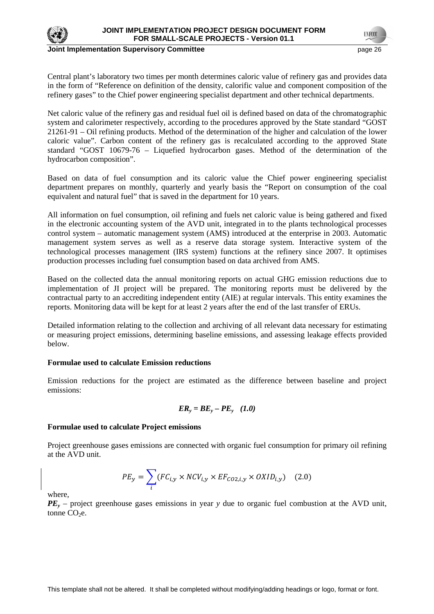

**Joint Implementation Supervisory Committee** *page 26* **and** *page 26* **and** *page 26* **and** *page 26* 

Central plant's laboratory two times per month determines caloric value of refinery gas and provides data in the form of "Reference on definition of the density, calorific value and component composition of the refinery gases" to the Chief power engineering specialist department and other technical departments.

Net caloric value of the refinery gas and residual fuel oil is defined based on data of the chromatographic system and calorimeter respectively, according to the procedures approved by the State standard "GOST 21261-91 – Oil refining products. Method of the determination of the higher and calculation of the lower caloric value". Carbon content of the refinery gas is recalculated according to the approved State standard "GOST 10679-76 – Liquefied hydrocarbon gases. Method of the determination of the hydrocarbon composition".

Based on data of fuel consumption and its caloric value the Chief power engineering specialist department prepares on monthly, quarterly and yearly basis the "Report on consumption of the coal equivalent and natural fuel" that is saved in the department for 10 years.

All information on fuel consumption, oil refining and fuels net caloric value is being gathered and fixed in the electronic accounting system of the AVD unit, integrated in to the plants technological processes control system – automatic management system (AMS) introduced at the enterprise in 2003. Automatic management system serves as well as a reserve data storage system. Interactive system of the technological processes management (IRS system) functions at the refinery since 2007. It optimises production processes including fuel consumption based on data archived from AMS.

Based on the collected data the annual monitoring reports on actual GHG emission reductions due to implementation of JI project will be prepared. The monitoring reports must be delivered by the contractual party to an accrediting independent entity (AIE) at regular intervals. This entity examines the reports. Monitoring data will be kept for at least 2 years after the end of the last transfer of ERUs.

Detailed information relating to the collection and archiving of all relevant data necessary for estimating or measuring project emissions, determining baseline emissions, and assessing leakage effects provided below.

### **Formulae used to calculate Emission reductions**

Emission reductions for the project are estimated as the difference between baseline and project emissions:

$$
ER_{y} = BE_{y} - PE_{y} \quad (1.0)
$$

### **Formulae used to calculate Project emissions**

Project greenhouse gases emissions are connected with organic fuel consumption for primary oil refining at the AVD unit.

$$
PE_y = \sum_i (FC_{i,y} \times NCV_{i,y} \times EF_{CO2,i,y} \times OXID_{i,y})
$$
 (2.0)

where,

*PE<sup>y</sup>* – project greenhouse gases emissions in year *y* due to organic fuel combustion at the AVD unit, tonne  $CO<sub>2</sub>e$ .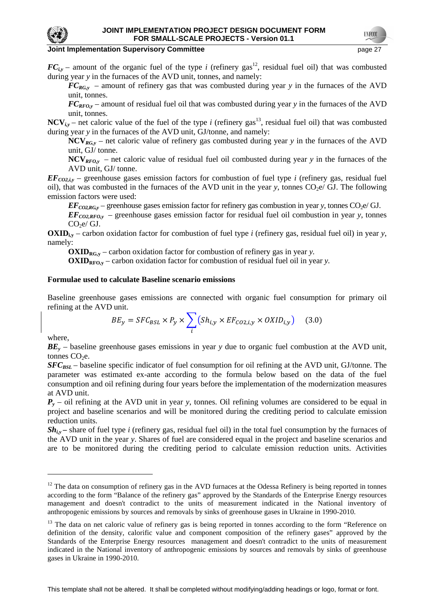

 $FC_{iv}$  – amount of the organic fuel of the type *i* (refinery gas<sup>12</sup>, residual fuel oil) that was combusted during year *y* in the furnaces of the AVD unit, tonnes, and namely:

 $FC_{RG,y}$  – amount of refinery gas that was combusted during year *y* in the furnaces of the AVD unit, tonnes.

*FCRFO,y* – amount of residual fuel oil that was combusted during year *y* in the furnaces of the AVD unit, tonnes.

**NCV**<sub>*i,y*</sub> – net caloric value of the fuel of the type *i* (refinery gas<sup>13</sup>, residual fuel oil) that was combusted during year *y* in the furnaces of the AVD unit, GJ/tonne, and namely:

**NCV***RG,y* – net caloric value of refinery gas combusted during year *y* in the furnaces of the AVD unit, GJ/ tonne.

**NCV**<sub>*RFO,y*</sub> – net caloric value of residual fuel oil combusted during year *y* in the furnaces of the AVD unit, GJ/ tonne.

 $EF_{CO2,iy}$  – greenhouse gases emission factors for combustion of fuel type *i* (refinery gas, residual fuel oil), that was combusted in the furnaces of the AVD unit in the year *y*, tonnes  $CO<sub>2</sub>e/$  GJ. The following emission factors were used:

 $EF_{CO2RG_v}$  – greenhouse gases emission factor for refinery gas combustion in year *y*, tonnes  $CO_2e/GJ$ .

*EFCO2,RFO,y* – greenhouse gases emission factor for residual fuel oil combustion in year *y*, tonnes  $CO<sub>2</sub>e/GJ.$ 

**OXID**<sub>ix</sub> – carbon oxidation factor for combustion of fuel type *i* (refinery gas, residual fuel oil) in year *y*, namely:

**OXIDRG,y** – carbon oxidation factor for combustion of refinery gas in year *y.* 

 $\text{OXID}_{\text{RFO},y}$  – carbon oxidation factor for combustion of residual fuel oil in year *y*.

#### **Formulae used to calculate Baseline scenario emissions**

Baseline greenhouse gases emissions are connected with organic fuel consumption for primary oil refining at the AVD unit.

$$
BE_y = SFC_{BSL} \times P_y \times \sum_{i} (Sh_{i,y} \times EF_{CO2,i,y} \times OXID_{i,y})
$$
 (3.0)

where,

 $\overline{a}$ 

*BE<sup>y</sup>* – baseline greenhouse gases emissions in year *y* due to organic fuel combustion at the AVD unit, tonnes  $CO<sub>2</sub>e$ .

*SFC*<sub>*BSL*</sub> – baseline specific indicator of fuel consumption for oil refining at the AVD unit, GJ/tonne. The parameter was estimated ex-ante according to the formula below based on the data of the fuel consumption and oil refining during four years before the implementation of the modernization measures at AVD unit.

 $Sh_{iv}$  – share of fuel type *i* (refinery gas, residual fuel oil) in the total fuel consumption by the furnaces of the AVD unit in the year *y*. Shares of fuel are considered equal in the project and baseline scenarios and are to be monitored during the crediting period to calculate emission reduction units. Activities

This template shall not be altered. It shall be completed without modifying/adding headings or logo, format or font.

 $P_y$  – oil refining at the AVD unit in year *y*, tonnes. Oil refining volumes are considered to be equal in project and baseline scenarios and will be monitored during the crediting period to calculate emission reduction units.

 $12$  The data on consumption of refinery gas in the AVD furnaces at the Odessa Refinery is being reported in tonnes according to the form "Balance of the refinery gas" approved by the Standards of the Enterprise Energy resources management and doesn't contradict to the units of measurement indicated in the National inventory of anthropogenic emissions by sources and removals by sinks of greenhouse gases in Ukraine in 1990-2010.

<sup>&</sup>lt;sup>13</sup> The data on net caloric value of refinery gas is being reported in tonnes according to the form "Reference on definition of the density, calorific value and component composition of the refinery gases" approved by the Standards of the Enterprise Energy resources management and doesn't contradict to the units of measurement indicated in the National inventory of anthropogenic emissions by sources and removals by sinks of greenhouse gases in Ukraine in 1990-2010.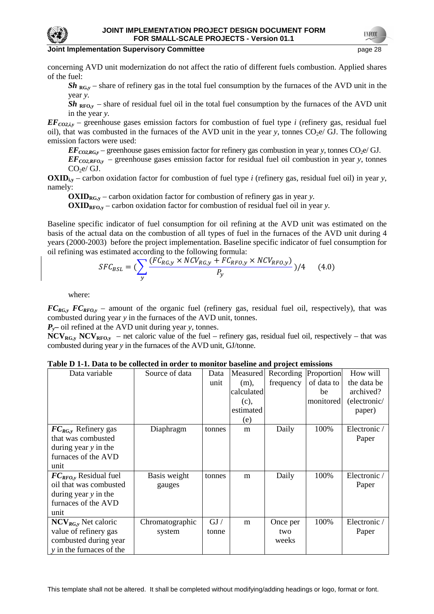

#### **Joint Implementation Supervisory Committee and Committee and Committee and Committee and Committee and Committee and Committee and Committee and Committee and Committee and Committee and Committee and Committee and Commit**

concerning AVD unit modernization do not affect the ratio of different fuels combustion. Applied shares of the fuel:

 $Sh_{RG,y}$  – share of refinery gas in the total fuel consumption by the furnaces of the AVD unit in the year *y.* 

 $Sh_{RFO,y}$  – share of residual fuel oil in the total fuel consumption by the furnaces of the AVD unit in the year *y.* 

 $EF_{CO2,iy}$  – greenhouse gases emission factors for combustion of fuel type *i* (refinery gas, residual fuel oil), that was combusted in the furnaces of the AVD unit in the year  $\gamma$ , tonnes CO<sub>2</sub>e/ GJ. The following emission factors were used:

 $EF_{CO2,RG,y}$  – greenhouse gases emission factor for refinery gas combustion in year *y*, tonnes  $CO_2e/GJ$ .

 $EF_{CO2,RFO,y}$  – greenhouse gases emission factor for residual fuel oil combustion in year *y*, tonnes  $CO<sub>2</sub>e/GJ.$ 

**OXID**<sub>ix</sub> – carbon oxidation factor for combustion of fuel type *i* (refinery gas, residual fuel oil) in year *y*, namely:

**OXID**<sub>RG,y</sub> – carbon oxidation factor for combustion of refinery gas in year *y*.

 $OXID_{RFO,y}$  – carbon oxidation factor for combustion of residual fuel oil in year *y*.

Baseline specific indicator of fuel consumption for oil refining at the AVD unit was estimated on the basis of the actual data on the combustion of all types of fuel in the furnaces of the AVD unit during 4 years (2000-2003) before the project implementation. Baseline specific indicator of fuel consumption for oil refining was estimated according to the following formula:

$$
SFC_{BSL} = \left(\sum_{y} \frac{(FC_{RG,y} \times NCV_{RG,y} + FC_{RFO,y} \times NCV_{RFO,y})}{P_y}\right) / 4 \tag{4.0}
$$

where:

 $FC_{RG,y}$  *FC*<sub>*RFO,y*</sub> – amount of the organic fuel (refinery gas, residual fuel oil, respectively), that was combusted during year *y* in the furnaces of the AVD unit, tonnes.

*Py***–** oil refined at the AVD unit during year *y*, tonnes.

 $NCV_{RG,y}$  NCV<sub>RFO,y</sub> – net caloric value of the fuel – refinery gas, residual fuel oil, respectively – that was combusted during year *y* in the furnaces of the AVD unit, GJ/tonne.

| Table D 1-1. Data to be collected in order to monitor baseline and project emissions |  |
|--------------------------------------------------------------------------------------|--|
|--------------------------------------------------------------------------------------|--|

| Data variable              | Source of data  | Data   | Measured   | Recording | Proportion | How will     |
|----------------------------|-----------------|--------|------------|-----------|------------|--------------|
|                            |                 | unit   | $(m)$ ,    | frequency | of data to | the data be  |
|                            |                 |        | calculated |           | be         | archived?    |
|                            |                 |        | (c),       |           | monitored  | (electronic/ |
|                            |                 |        | estimated  |           |            | paper)       |
|                            |                 |        | (e)        |           |            |              |
| $FC_{RG,v}$ Refinery gas   | Diaphragm       | tonnes | m          | Daily     | 100%       | Electronic / |
| that was combusted         |                 |        |            |           |            | Paper        |
| during year y in the       |                 |        |            |           |            |              |
| furnaces of the AVD        |                 |        |            |           |            |              |
| unit                       |                 |        |            |           |            |              |
| $FC_{RFO,v}$ Residual fuel | Basis weight    | tonnes | m          | Daily     | 100%       | Electronic / |
| oil that was combusted     | gauges          |        |            |           |            | Paper        |
| during year $y$ in the     |                 |        |            |           |            |              |
| furnaces of the AVD        |                 |        |            |           |            |              |
| unit                       |                 |        |            |           |            |              |
| $NCV_{RG,y}$ Net caloric   | Chromatographic | GJ /   | m          | Once per  | 100%       | Electronic / |
| value of refinery gas      | system          | tonne  |            | two       |            | Paper        |
| combusted during year      |                 |        |            | weeks     |            |              |
| y in the furnaces of the   |                 |        |            |           |            |              |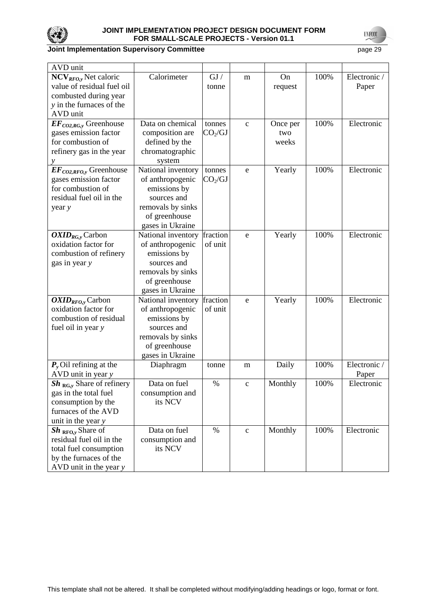

# **Joint Implementation Supervisory Committee Accord Physics 20 and Physics 29 page 29**

| <b>AVD</b> unit               |                    |                     |              |          |      |              |
|-------------------------------|--------------------|---------------------|--------------|----------|------|--------------|
| $NCVRFO,y$ Net caloric        | Calorimeter        | GJ /                | m            | On       | 100% | Electronic / |
| value of residual fuel oil    |                    | tonne               |              | request  |      | Paper        |
| combusted during year         |                    |                     |              |          |      |              |
| y in the furnaces of the      |                    |                     |              |          |      |              |
| AVD unit                      |                    |                     |              |          |      |              |
| $EF_{CO2, RG,y}$ Greenhouse   | Data on chemical   | tonnes              | $\mathbf{C}$ | Once per | 100% | Electronic   |
| gases emission factor         | composition are    | CO <sub>2</sub> /GI |              | two      |      |              |
| for combustion of             | defined by the     |                     |              | weeks    |      |              |
| refinery gas in the year      | chromatographic    |                     |              |          |      |              |
| у                             | system             |                     |              |          |      |              |
| $EF_{CO2,RFO,y}$ Greenhouse   | National inventory | tonnes              | e            | Yearly   | 100% | Electronic   |
| gases emission factor         | of anthropogenic   | CO <sub>2</sub> /GI |              |          |      |              |
| for combustion of             | emissions by       |                     |              |          |      |              |
| residual fuel oil in the      | sources and        |                     |              |          |      |              |
| year y                        | removals by sinks  |                     |              |          |      |              |
|                               | of greenhouse      |                     |              |          |      |              |
|                               | gases in Ukraine   |                     |              |          |      |              |
| $OXID_{RG,y}$ Carbon          | National inventory | fraction            | e            | Yearly   | 100% | Electronic   |
| oxidation factor for          | of anthropogenic   | of unit             |              |          |      |              |
| combustion of refinery        | emissions by       |                     |              |          |      |              |
| gas in year y                 | sources and        |                     |              |          |      |              |
|                               | removals by sinks  |                     |              |          |      |              |
|                               | of greenhouse      |                     |              |          |      |              |
|                               | gases in Ukraine   |                     |              |          |      |              |
| $OXID_{RFO,y}$ Carbon         | National inventory | fraction            | e            | Yearly   | 100% | Electronic   |
| oxidation factor for          | of anthropogenic   | of unit             |              |          |      |              |
| combustion of residual        | emissions by       |                     |              |          |      |              |
| fuel oil in year y            | sources and        |                     |              |          |      |              |
|                               | removals by sinks  |                     |              |          |      |              |
|                               | of greenhouse      |                     |              |          |      |              |
|                               | gases in Ukraine   |                     |              |          |      |              |
| $P_{v}$ Oil refining at the   | Diaphragm          | tonne               | m            | Daily    | 100% | Electronic / |
| AVD unit in year y            |                    |                     |              |          |      | Paper        |
| $Sh_{RG,y}$ Share of refinery | Data on fuel       | $\%$                | $\mathbf{C}$ | Monthly  | 100% | Electronic   |
| gas in the total fuel         | consumption and    |                     |              |          |      |              |
| consumption by the            | its NCV            |                     |              |          |      |              |
| furnaces of the AVD           |                    |                     |              |          |      |              |
| unit in the year y            |                    |                     |              |          |      |              |
| $Sh_{\text{RFO},v}$ Share of  | Data on fuel       | $\%$                | $\mathbf{C}$ | Monthly  | 100% | Electronic   |
| residual fuel oil in the      | consumption and    |                     |              |          |      |              |
| total fuel consumption        | its NCV            |                     |              |          |      |              |
| by the furnaces of the        |                    |                     |              |          |      |              |
| AVD unit in the year $y$      |                    |                     |              |          |      |              |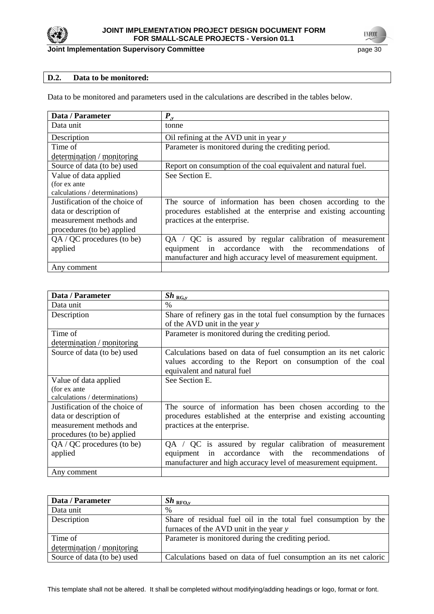

# **D.2. Data to be monitored:**

Data to be monitored and parameters used in the calculations are described in the tables below.

| Data / Parameter               | $\bm{P}_{\cdot \text{v}}$                                        |
|--------------------------------|------------------------------------------------------------------|
| Data unit                      | tonne                                                            |
| Description                    | Oil refining at the AVD unit in year y                           |
| Time of                        | Parameter is monitored during the crediting period.              |
| determination / monitoring     |                                                                  |
| Source of data (to be) used    | Report on consumption of the coal equivalent and natural fuel.   |
| Value of data applied          | See Section E.                                                   |
| (for ex ante                   |                                                                  |
| calculations / determinations) |                                                                  |
| Justification of the choice of | The source of information has been chosen according to the       |
| data or description of         | procedures established at the enterprise and existing accounting |
| measurement methods and        | practices at the enterprise.                                     |
| procedures (to be) applied     |                                                                  |
| QA / QC procedures (to be)     | $QA / QC$ is assured by regular calibration of measurement       |
| applied                        | accordance with the recommendations<br>equipment in<br>of        |
|                                | manufacturer and high accuracy level of measurement equipment.   |
| Any comment                    |                                                                  |

| Data / Parameter               | $Sh_{\overline{RG,y}}$                                              |
|--------------------------------|---------------------------------------------------------------------|
| Data unit                      | $\frac{0}{0}$                                                       |
| Description                    | Share of refinery gas in the total fuel consumption by the furnaces |
|                                | of the AVD unit in the year $y$                                     |
| Time of                        | Parameter is monitored during the crediting period.                 |
| determination / monitoring     |                                                                     |
| Source of data (to be) used    | Calculations based on data of fuel consumption an its net caloric   |
|                                | values according to the Report on consumption of the coal           |
|                                | equivalent and natural fuel                                         |
| Value of data applied          | See Section E.                                                      |
| (for ex ante                   |                                                                     |
| calculations / determinations) |                                                                     |
| Justification of the choice of | The source of information has been chosen according to the          |
| data or description of         | procedures established at the enterprise and existing accounting    |
| measurement methods and        | practices at the enterprise.                                        |
| procedures (to be) applied     |                                                                     |
| $QA / QC$ procedures (to be)   | QA / QC is assured by regular calibration of measurement            |
| applied                        | accordance with the recommendations<br>in<br>equipment<br>of        |
|                                | manufacturer and high accuracy level of measurement equipment.      |
| Any comment                    |                                                                     |

| Data / Parameter            | $Sh_{\;RFO,v}$                                                    |
|-----------------------------|-------------------------------------------------------------------|
| Data unit                   | $\%$                                                              |
| Description                 | Share of residual fuel oil in the total fuel consumption by the   |
|                             | furnaces of the AVD unit in the year y                            |
| Time of                     | Parameter is monitored during the crediting period.               |
| determination / monitoring  |                                                                   |
| Source of data (to be) used | Calculations based on data of fuel consumption an its net caloric |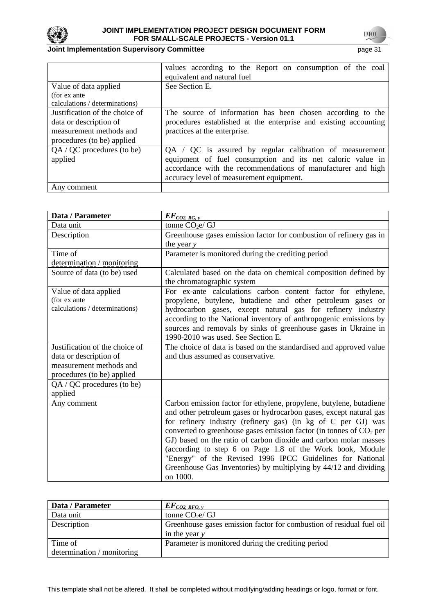

# **Joint Implementation Supervisory Committee Accord Page 31 page 31**

|                                | values according to the Report on consumption of the coal        |
|--------------------------------|------------------------------------------------------------------|
|                                | equivalent and natural fuel                                      |
| Value of data applied          | See Section E.                                                   |
| (for ex ante                   |                                                                  |
| calculations / determinations) |                                                                  |
| Justification of the choice of | The source of information has been chosen according to the       |
| data or description of         | procedures established at the enterprise and existing accounting |
| measurement methods and        | practices at the enterprise.                                     |
| procedures (to be) applied     |                                                                  |
| QA / QC procedures (to be)     | $QA / QC$ is assured by regular calibration of measurement       |
| applied                        | equipment of fuel consumption and its net caloric value in       |
|                                | accordance with the recommendations of manufacturer and high     |
|                                | accuracy level of measurement equipment.                         |
| Any comment                    |                                                                  |

| Data / Parameter                                                                                                  | $EF_{CO2, RG, y}$                                                                                                                                                                                                                                                                                                                                                                                                                                                                                                                                                |
|-------------------------------------------------------------------------------------------------------------------|------------------------------------------------------------------------------------------------------------------------------------------------------------------------------------------------------------------------------------------------------------------------------------------------------------------------------------------------------------------------------------------------------------------------------------------------------------------------------------------------------------------------------------------------------------------|
| Data unit                                                                                                         | tonne $CO2e/GJ$                                                                                                                                                                                                                                                                                                                                                                                                                                                                                                                                                  |
| Description                                                                                                       | Greenhouse gases emission factor for combustion of refinery gas in                                                                                                                                                                                                                                                                                                                                                                                                                                                                                               |
|                                                                                                                   | the year $y$                                                                                                                                                                                                                                                                                                                                                                                                                                                                                                                                                     |
| Time of                                                                                                           | Parameter is monitored during the crediting period                                                                                                                                                                                                                                                                                                                                                                                                                                                                                                               |
| determination / monitoring                                                                                        |                                                                                                                                                                                                                                                                                                                                                                                                                                                                                                                                                                  |
| Source of data (to be) used                                                                                       | Calculated based on the data on chemical composition defined by<br>the chromatographic system                                                                                                                                                                                                                                                                                                                                                                                                                                                                    |
| Value of data applied<br>(for ex ante<br>calculations / determinations)                                           | For ex-ante calculations carbon content factor for ethylene,<br>propylene, butylene, butadiene and other petroleum gases or<br>hydrocarbon gases, except natural gas for refinery industry<br>according to the National inventory of anthropogenic emissions by<br>sources and removals by sinks of greenhouse gases in Ukraine in<br>1990-2010 was used. See Section E.                                                                                                                                                                                         |
| Justification of the choice of<br>data or description of<br>measurement methods and<br>procedures (to be) applied | The choice of data is based on the standardised and approved value<br>and thus assumed as conservative.                                                                                                                                                                                                                                                                                                                                                                                                                                                          |
| $QA / QC$ procedures (to be)<br>applied                                                                           |                                                                                                                                                                                                                                                                                                                                                                                                                                                                                                                                                                  |
| Any comment                                                                                                       | Carbon emission factor for ethylene, propylene, butylene, butadiene<br>and other petroleum gases or hydrocarbon gases, except natural gas<br>for refinery industry (refinery gas) (in kg of C per GJ) was<br>converted to greenhouse gases emission factor (in tonnes of $CO2$ per<br>GJ) based on the ratio of carbon dioxide and carbon molar masses<br>(according to step 6 on Page 1.8 of the Work book, Module<br>"Energy" of the Revised 1996 IPCC Guidelines for National<br>Greenhouse Gas Inventories) by multiplying by 44/12 and dividing<br>on 1000. |

| Data / Parameter           | $EF_{CO2, RFO, y}$                                                   |
|----------------------------|----------------------------------------------------------------------|
| Data unit                  | tonne $CO2e/GJ$                                                      |
| Description                | Greenhouse gases emission factor for combustion of residual fuel oil |
|                            | in the year $y$                                                      |
| Time of                    | Parameter is monitored during the crediting period                   |
| determination / monitoring |                                                                      |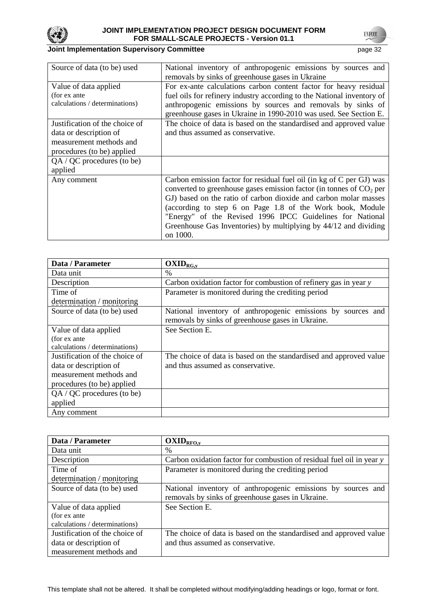

**UNFCCC** 

| Source of data (to be) used                                                                                       | National inventory of anthropogenic emissions by sources and<br>removals by sinks of greenhouse gases in Ukraine                                                                                                                                                                                                                                                                                                                      |
|-------------------------------------------------------------------------------------------------------------------|---------------------------------------------------------------------------------------------------------------------------------------------------------------------------------------------------------------------------------------------------------------------------------------------------------------------------------------------------------------------------------------------------------------------------------------|
| Value of data applied<br>(for ex ante)<br>calculations / determinations)                                          | For ex-ante calculations carbon content factor for heavy residual<br>fuel oils for refinery industry according to the National inventory of<br>anthropogenic emissions by sources and removals by sinks of<br>greenhouse gases in Ukraine in 1990-2010 was used. See Section E.                                                                                                                                                       |
| Justification of the choice of<br>data or description of<br>measurement methods and<br>procedures (to be) applied | The choice of data is based on the standardised and approved value<br>and thus assumed as conservative.                                                                                                                                                                                                                                                                                                                               |
| QA / QC procedures (to be)<br>applied                                                                             |                                                                                                                                                                                                                                                                                                                                                                                                                                       |
| Any comment                                                                                                       | Carbon emission factor for residual fuel oil (in kg of C per GJ) was<br>converted to greenhouse gases emission factor (in tonnes of CO <sub>2</sub> per<br>GJ) based on the ratio of carbon dioxide and carbon molar masses<br>(according to step 6 on Page 1.8 of the Work book, Module<br>"Energy" of the Revised 1996 IPCC Guidelines for National<br>Greenhouse Gas Inventories) by multiplying by 44/12 and dividing<br>on 1000. |

| Data / Parameter               | $OXID_{RG,y}$                                                      |
|--------------------------------|--------------------------------------------------------------------|
| Data unit                      | $\%$                                                               |
| Description                    | Carbon oxidation factor for combustion of refinery gas in year y   |
| Time of                        | Parameter is monitored during the crediting period                 |
| determination / monitoring     |                                                                    |
| Source of data (to be) used    | National inventory of anthropogenic emissions by sources and       |
|                                | removals by sinks of greenhouse gases in Ukraine.                  |
| Value of data applied          | See Section E.                                                     |
| (for ex ante                   |                                                                    |
| calculations / determinations) |                                                                    |
| Justification of the choice of | The choice of data is based on the standardised and approved value |
| data or description of         | and thus assumed as conservative.                                  |
| measurement methods and        |                                                                    |
| procedures (to be) applied     |                                                                    |
| QA / QC procedures (to be)     |                                                                    |
| applied                        |                                                                    |
| Any comment                    |                                                                    |

| Data / Parameter               | $OXID_{RFO,y}$                                                        |
|--------------------------------|-----------------------------------------------------------------------|
| Data unit                      | $\%$                                                                  |
| Description                    | Carbon oxidation factor for combustion of residual fuel oil in year y |
| Time of                        | Parameter is monitored during the crediting period                    |
| determination / monitoring     |                                                                       |
| Source of data (to be) used    | National inventory of anthropogenic emissions by sources and          |
|                                | removals by sinks of greenhouse gases in Ukraine.                     |
| Value of data applied          | See Section E.                                                        |
| (for ex ante                   |                                                                       |
| calculations / determinations) |                                                                       |
| Justification of the choice of | The choice of data is based on the standardised and approved value    |
| data or description of         | and thus assumed as conservative.                                     |
| measurement methods and        |                                                                       |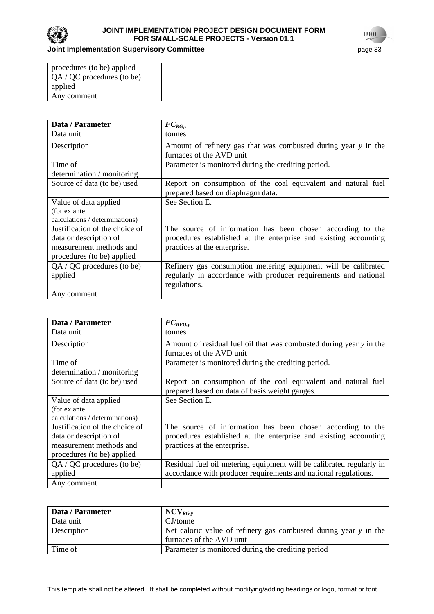

# **Joint Implementation Supervisory Committee** page 33

| procedures (to be) applied          |  |
|-------------------------------------|--|
| $\sqrt{QA}$ / QC procedures (to be) |  |
| applied                             |  |
| Any comment                         |  |
|                                     |  |

| Data / Parameter               | $FC_{RG,y}$                                                      |
|--------------------------------|------------------------------------------------------------------|
| Data unit                      | tonnes                                                           |
| Description                    | Amount of refinery gas that was combusted during year y in the   |
|                                | furnaces of the AVD unit                                         |
| Time of                        | Parameter is monitored during the crediting period.              |
| determination / monitoring     |                                                                  |
| Source of data (to be) used    | Report on consumption of the coal equivalent and natural fuel    |
|                                | prepared based on diaphragm data.                                |
| Value of data applied          | See Section E.                                                   |
| (for ex ante                   |                                                                  |
| calculations / determinations) |                                                                  |
| Justification of the choice of | The source of information has been chosen according to the       |
| data or description of         | procedures established at the enterprise and existing accounting |
| measurement methods and        | practices at the enterprise.                                     |
| procedures (to be) applied     |                                                                  |
| $QA / QC$ procedures (to be)   | Refinery gas consumption metering equipment will be calibrated   |
| applied                        | regularly in accordance with producer requirements and national  |
|                                | regulations.                                                     |
| Any comment                    |                                                                  |

| Data / Parameter               | $FC_{RFO,y}$                                                         |
|--------------------------------|----------------------------------------------------------------------|
| Data unit                      | tonnes                                                               |
| Description                    | Amount of residual fuel oil that was combusted during year y in the  |
|                                | furnaces of the AVD unit                                             |
| Time of                        | Parameter is monitored during the crediting period.                  |
| determination / monitoring     |                                                                      |
| Source of data (to be) used    | Report on consumption of the coal equivalent and natural fuel        |
|                                | prepared based on data of basis weight gauges.                       |
| Value of data applied          | See Section E.                                                       |
| (for ex ante                   |                                                                      |
| calculations / determinations) |                                                                      |
| Justification of the choice of | The source of information has been chosen according to the           |
| data or description of         | procedures established at the enterprise and existing accounting     |
| measurement methods and        | practices at the enterprise.                                         |
| procedures (to be) applied     |                                                                      |
| QA / QC procedures (to be)     | Residual fuel oil metering equipment will be calibrated regularly in |
| applied                        | accordance with producer requirements and national regulations.      |
| Any comment                    |                                                                      |

| Data / Parameter | $NCV_{RG,v}$                                                     |
|------------------|------------------------------------------------------------------|
| Data unit        | GJ/tonne                                                         |
| Description      | Net caloric value of refinery gas combusted during year y in the |
|                  | furnaces of the AVD unit                                         |
| Time of          | Parameter is monitored during the crediting period               |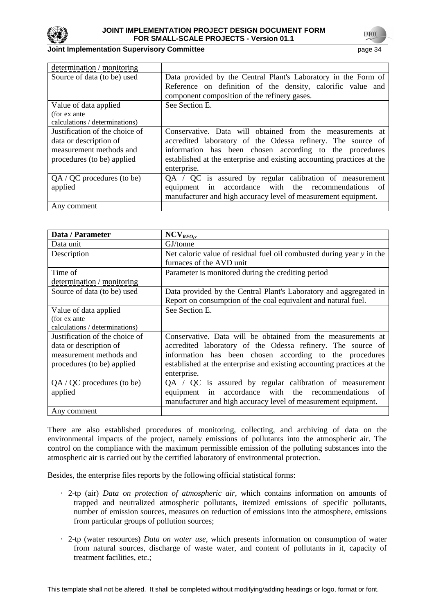

#### **Joint Implementation Supervisory Committee Committee** *page 34*

| determination / monitoring                      |                                                                                                             |
|-------------------------------------------------|-------------------------------------------------------------------------------------------------------------|
| Source of data (to be) used                     | Data provided by the Central Plant's Laboratory in the Form of                                              |
|                                                 | Reference on definition of the density, calorific value and<br>component composition of the refinery gases. |
| Value of data applied                           | See Section E.                                                                                              |
| (for ex ante)<br>calculations / determinations) |                                                                                                             |
| Justification of the choice of                  | Conservative. Data will obtained from the measurements at                                                   |
| data or description of                          | accredited laboratory of the Odessa refinery. The source of                                                 |
| measurement methods and                         | information has been chosen according to the procedures                                                     |
| procedures (to be) applied                      | established at the enterprise and existing accounting practices at the                                      |
|                                                 | enterprise.                                                                                                 |
| $QA / QC$ procedures (to be)                    | QA / QC is assured by regular calibration of measurement                                                    |
| applied                                         | accordance with the recommendations<br>equipment in<br>-of                                                  |
|                                                 | manufacturer and high accuracy level of measurement equipment.                                              |
| Any comment                                     |                                                                                                             |

| Data / Parameter               | NCV <sub>RFO,y</sub>                                                   |
|--------------------------------|------------------------------------------------------------------------|
| Data unit                      | GJ/tonne                                                               |
| Description                    | Net caloric value of residual fuel oil combusted during year y in the  |
|                                | furnaces of the AVD unit                                               |
| Time of                        | Parameter is monitored during the crediting period                     |
| determination / monitoring     |                                                                        |
| Source of data (to be) used    | Data provided by the Central Plant's Laboratory and aggregated in      |
|                                | Report on consumption of the coal equivalent and natural fuel.         |
| Value of data applied          | See Section E.                                                         |
| (for ex ante                   |                                                                        |
| calculations / determinations) |                                                                        |
| Justification of the choice of | Conservative. Data will be obtained from the measurements at           |
| data or description of         | accredited laboratory of the Odessa refinery. The source of            |
| measurement methods and        | information has been chosen according to the procedures                |
| procedures (to be) applied     | established at the enterprise and existing accounting practices at the |
|                                | enterprise.                                                            |
| $QA / QC$ procedures (to be)   | QA / QC is assured by regular calibration of measurement               |
| applied                        | accordance with the recommendations<br>in<br>equipment<br>of           |
|                                | manufacturer and high accuracy level of measurement equipment.         |
| Any comment                    |                                                                        |

There are also established procedures of monitoring, collecting, and archiving of data on the environmental impacts of the project, namely emissions of pollutants into the atmospheric air. The control on the compliance with the maximum permissible emission of the polluting substances into the atmospheric air is carried out by the certified laboratory of environmental protection.

Besides, the enterprise files reports by the following official statistical forms:

- · 2-tp (air) *Data on protection of atmospheric air*, which contains information on amounts of trapped and neutralized atmospheric pollutants, itemized emissions of specific pollutants, number of emission sources, measures on reduction of emissions into the atmosphere, emissions from particular groups of pollution sources;
- · 2-tp (water resources) *Data on water use*, which presents information on consumption of water from natural sources, discharge of waste water, and content of pollutants in it, capacity of treatment facilities, etc.;

This template shall not be altered. It shall be completed without modifying/adding headings or logo, format or font.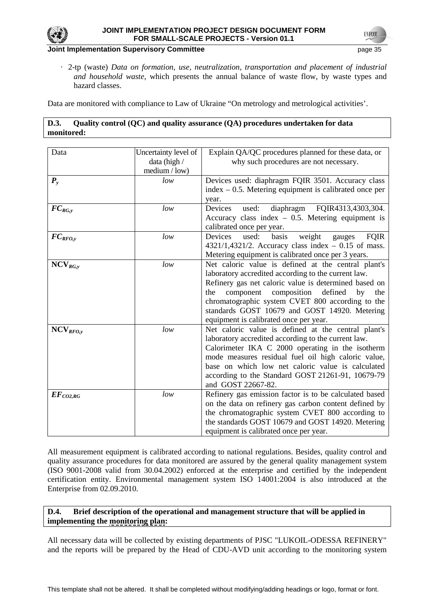

· 2-tp (waste) *Data on formation, use, neutralization, transportation and placement of industrial and household waste*, which presents the annual balance of waste flow, by waste types and hazard classes.

Data are monitored with compliance to Law of Ukraine "On metrology and metrological activities'.

# **D.3. Quality control (QC) and quality assurance (QA) procedures undertaken for data monitored:**

| Data                 | Uncertainty level of | Explain QA/QC procedures planned for these data, or          |
|----------------------|----------------------|--------------------------------------------------------------|
|                      | data (high /         | why such procedures are not necessary.                       |
|                      | median / low)        |                                                              |
| $P_{y}$              | low                  | Devices used: diaphragm FQIR 3501. Accuracy class            |
|                      |                      | $index - 0.5$ . Metering equipment is calibrated once per    |
|                      |                      | year.                                                        |
| $FC_{RG,y}$          | low                  | FQIR4313,4303,304.<br>Devices<br>used:<br>diaphragm          |
|                      |                      | Accuracy class index $-0.5$ . Metering equipment is          |
|                      |                      | calibrated once per year.                                    |
| $FC_{RFO,y}$         | low                  | Devices<br>weight<br>used:<br>basis<br><b>FQIR</b><br>gauges |
|                      |                      | $4321/1,4321/2$ . Accuracy class index - 0.15 of mass.       |
|                      |                      | Metering equipment is calibrated once per 3 years.           |
| $NCV_{RG,y}$         | low                  | Net caloric value is defined at the central plant's          |
|                      |                      | laboratory accredited according to the current law.          |
|                      |                      | Refinery gas net caloric value is determined based on        |
|                      |                      | component composition defined<br>the<br>by<br>the            |
|                      |                      | chromatographic system CVET 800 according to the             |
|                      |                      | standards GOST 10679 and GOST 14920. Metering                |
|                      |                      | equipment is calibrated once per year.                       |
| NCV <sub>RFO,y</sub> | low                  | Net caloric value is defined at the central plant's          |
|                      |                      | laboratory accredited according to the current law.          |
|                      |                      | Calorimeter IKA C 2000 operating in the isotherm             |
|                      |                      | mode measures residual fuel oil high caloric value,          |
|                      |                      | base on which low net caloric value is calculated            |
|                      |                      | according to the Standard GOST 21261-91, 10679-79            |
|                      |                      | and GOST 22667-82.                                           |
| $EF_{CO2, RG}$       | low                  | Refinery gas emission factor is to be calculated based       |
|                      |                      | on the data on refinery gas carbon content defined by        |
|                      |                      | the chromatographic system CVET 800 according to             |
|                      |                      | the standards GOST 10679 and GOST 14920. Metering            |
|                      |                      | equipment is calibrated once per year.                       |

All measurement equipment is calibrated according to national regulations. Besides, quality control and quality assurance procedures for data monitored are assured by the general quality management system (ISO 9001-2008 valid from 30.04.2002) enforced at the enterprise and certified by the independent certification entity. Environmental management system ІSO 14001:2004 is also introduced at the Enterprise from 02.09.2010.

### **D.4. Brief description of the operational and management structure that will be applied in implementing the monitoring plan:**

All necessary data will be collected by existing departments of PJSC "LUKOIL-ODESSA REFINERY" and the reports will be prepared by the Head of CDU-AVD unit according to the monitoring system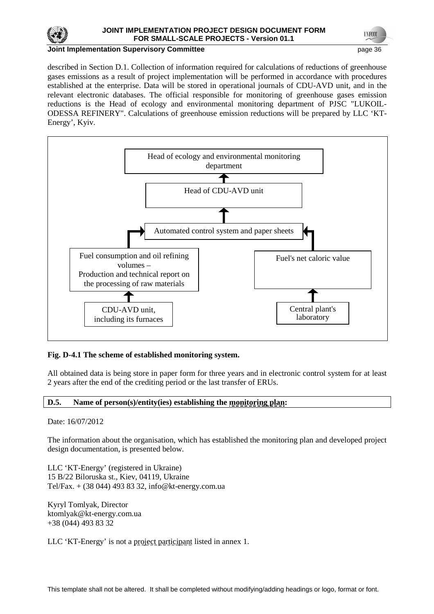

#### **Joint Implementation Supervisory Committee and Committee and Committee and Committee and Committee and Committee and Committee and Committee and Committee and Committee and Committee and Committee and Committee and Commit**

described in Section D.1. Collection of information required for calculations of reductions of greenhouse gases emissions as a result of project implementation will be performed in accordance with procedures established at the enterprise. Data will be stored in operational journals of CDU-AVD unit, and in the relevant electronic databases. The official responsible for monitoring of greenhouse gases emission reductions is the Head of ecology and environmental monitoring department of PJSC "LUKOIL-ODESSA REFINERY". Calculations of greenhouse emission reductions will be prepared by LLC 'KT-Energy', Kyiv.



### **Fig. D-4.1 The scheme of established monitoring system.**

All obtained data is being store in paper form for three years and in electronic control system for at least 2 years after the end of the crediting period or the last transfer of ERUs.

### **D.5. Name of person(s)/entity(ies) establishing the monitoring plan:**

Date: 16/07/2012

The information about the organisation, which has established the monitoring plan and developed project design documentation, is presented below.

LLC 'KT-Energy' (registered in Ukraine) 15 B/22 Biloruska st., Kiev, 04119, Ukraine Tel/Fax. + (38 044) 493 83 32, info@kt-energy.com.ua

Kyryl Tomlyak, Director ktomlyak@kt-energy.com.ua +38 (044) 493 83 32

LLC 'KT-Energy' is not a project participant listed in annex 1.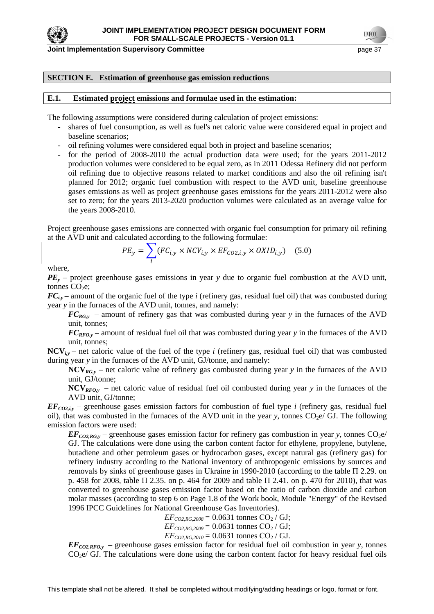

#### **SECTION E. Estimation of greenhouse gas emission reductions**

#### **E.1. Estimated project emissions and formulae used in the estimation:**

The following assumptions were considered during calculation of project emissions:

- shares of fuel consumption, as well as fuel's net caloric value were considered equal in project and baseline scenarios;
- oil refining volumes were considered equal both in project and baseline scenarios;
- for the period of 2008-2010 the actual production data were used; for the years 2011-2012 production volumes were considered to be equal zero, as in 2011 Odessa Refinery did not perform oil refining due to objective reasons related to market conditions and also the oil refining isn't planned for 2012; organic fuel combustion with respect to the AVD unit, baseline greenhouse gases emissions as well as project greenhouse gases emissions for the years 2011-2012 were also set to zero; for the years 2013-2020 production volumes were calculated as an average value for the years 2008-2010.

Project greenhouse gases emissions are connected with organic fuel consumption for primary oil refining at the AVD unit and calculated according to the following formulae:

$$
PE_y = \sum_i (FC_{i,y} \times NCV_{i,y} \times EF_{CO2,i,y} \times OXID_{i,y})
$$
 (5.0)

where,

*PE<sup>y</sup>* – project greenhouse gases emissions in year *y* due to organic fuel combustion at the AVD unit, tonnes  $CO<sub>2</sub>e$ ;

 $FC_{i,y}$  – amount of the organic fuel of the type *i* (refinery gas, residual fuel oil) that was combusted during year *y* in the furnaces of the AVD unit, tonnes, and namely:

 $FC_{RGy}$  – amount of refinery gas that was combusted during year *y* in the furnaces of the AVD unit, tonnes;

*FCRFO,y* – amount of residual fuel oil that was combusted during year *y* in the furnaces of the AVD unit, tonnes;

 $NCV_{iv}$  – net caloric value of the fuel of the type *i* (refinery gas, residual fuel oil) that was combusted during year *y* in the furnaces of the AVD unit, GJ/tonne, and namely:

**NCV***RG,y* – net caloric value of refinery gas combusted during year *y* in the furnaces of the AVD unit, GJ/tonne;

**NCV***RFO,y* – net caloric value of residual fuel oil combusted during year *y* in the furnaces of the AVD unit, GJ/tonne;

 $EF_{CO2}$ *iv* – greenhouse gases emission factors for combustion of fuel type *i* (refinery gas, residual fuel oil), that was combusted in the furnaces of the AVD unit in the year  $y$ , tonnes  $CO<sub>2</sub>e/GJ$ . The following emission factors were used:

 $EF_{CO2,RG,y}$  – greenhouse gases emission factor for refinery gas combustion in year *y*, tonnes CO<sub>2</sub>e/ GJ. The calculations were done using the carbon content factor for ethylene, propylene, butylene, butadiene and other petroleum gases or hydrocarbon gases, except natural gas (refinery gas) for refinery industry according to the National inventory of anthropogenic emissions by sources and removals by sinks of greenhouse gases in Ukraine in 1990-2010 (according to the table П 2.29. on p. 458 for 2008, table П 2.35. on p. 464 for 2009 and table П 2.41. on p. 470 for 2010), that was converted to greenhouse gases emission factor based on the ratio of carbon dioxide and carbon molar masses (according to step 6 on Page 1.8 of the Work book, Module "Energy" of the Revised 1996 IPCC Guidelines for National Greenhouse Gas Inventories).

> $EF_{CO2, RG,2008} = 0.0631$  tonnes  $CO_2/GJ$ ;  $EF_{CO2, RG,2009} = 0.0631$  tonnes  $CO_2 / GI$ ;

> $EF_{CO2, RG, 2010} = 0.0631$  tonnes  $CO_2 / GI$ .

 $EF_{CO2,RFO,y}$  – greenhouse gases emission factor for residual fuel oil combustion in year *y*, tonnes  $CO<sub>2</sub>e/GJ$ . The calculations were done using the carbon content factor for heavy residual fuel oils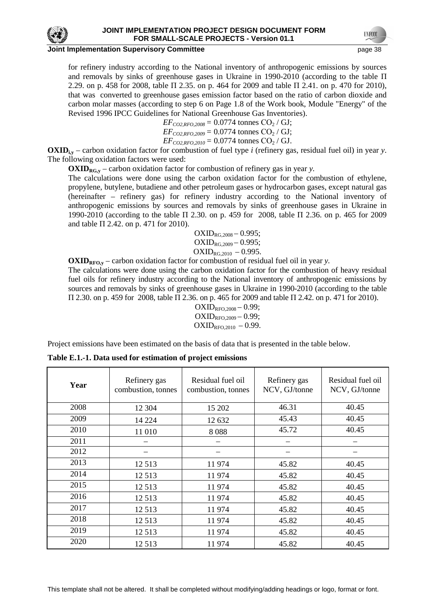

for refinery industry according to the National inventory of anthropogenic emissions by sources and removals by sinks of greenhouse gases in Ukraine in 1990-2010 (according to the table  $\Pi$ 2.29. on p. 458 for 2008, table П 2.35. on p. 464 for 2009 and table П 2.41. on p. 470 for 2010), that was converted to greenhouse gases emission factor based on the ratio of carbon dioxide and carbon molar masses (according to step 6 on Page 1.8 of the Work book, Module "Energy" of the Revised 1996 IPCC Guidelines for National Greenhouse Gas Inventories).

> $EF_{CO2,RFO,2008} = 0.0774$  tonnes CO<sub>2</sub> / GJ;  $EF_{CO2,RFO,2009} = 0.0774$  tonnes CO<sub>2</sub> / GJ;  $EF_{CO2,RFO,2010} = 0.0774$  tonnes  $CO_2 / GI$ .

**OXIDi,y** – carbon oxidation factor for combustion of fuel type *i* (refinery gas, residual fuel oil) in year *y*. The following oxidation factors were used:

**OXIDRG,y** – carbon oxidation factor for combustion of refinery gas in year *y.* 

The calculations were done using the carbon oxidation factor for the combustion of ethylene, propylene, butylene, butadiene and other petroleum gases or hydrocarbon gases, except natural gas (hereinafter – refinery gas) for refinery industry according to the National inventory of anthropogenic emissions by sources and removals by sinks of greenhouse gases in Ukraine in 1990-2010 (according to the table П 2.30. on p. 459 for 2008, table П 2.36. on p. 465 for 2009 and table П 2.42. on p. 471 for 2010).

> $OXID_{RG,2008} - 0.995;$  $OXID_{RG,2009} - 0.995;$  $OXID_{RG,2010} - 0.995.$

 $\text{OXID}_{\text{RFO},y}$  – carbon oxidation factor for combustion of residual fuel oil in year *y*.

The calculations were done using the carbon oxidation factor for the combustion of heavy residual fuel oils for refinery industry according to the National inventory of anthropogenic emissions by sources and removals by sinks of greenhouse gases in Ukraine in 1990-2010 (according to the table П 2.30. on p. 459 for 2008, table П 2.36. on p. 465 for 2009 and table П 2.42. on p. 471 for 2010).

> $OXID_{RFO.2008} - 0.99;$  $OXID_{RFO,2009} - 0.99;$  $OXID_{RFO,2010} - 0.99.$

Project emissions have been estimated on the basis of data that is presented in the table below.

| Year | Refinery gas<br>combustion, tonnes | Residual fuel oil<br>combustion, tonnes | Refinery gas<br>NCV, GJ/tonne | Residual fuel oil<br>NCV, GJ/tonne |
|------|------------------------------------|-----------------------------------------|-------------------------------|------------------------------------|
| 2008 | 12 304                             | 15 202                                  | 46.31                         | 40.45                              |
| 2009 | 14 224                             | 12 632                                  | 45.43                         | 40.45                              |
| 2010 | 11 010                             | 8088                                    | 45.72                         | 40.45                              |
| 2011 |                                    |                                         |                               |                                    |
| 2012 |                                    |                                         |                               |                                    |
| 2013 | 12 5 13                            | 11974                                   | 45.82                         | 40.45                              |
| 2014 | 12 5 13                            | 11974                                   | 45.82                         | 40.45                              |
| 2015 | 12 5 13                            | 11974                                   | 45.82                         | 40.45                              |
| 2016 | 12 5 13                            | 11974                                   | 45.82                         | 40.45                              |
| 2017 | 12 5 13                            | 11974                                   | 45.82                         | 40.45                              |
| 2018 | 12 5 13                            | 11974                                   | 45.82                         | 40.45                              |
| 2019 | 12 5 13                            | 11974                                   | 45.82                         | 40.45                              |
| 2020 | 12 5 13                            | 11974                                   | 45.82                         | 40.45                              |

**Table E.1.-1. Data used for estimation of project emissions**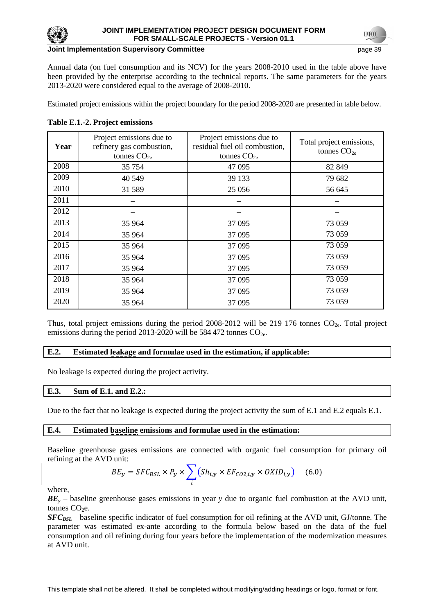

### **Joint Implementation Supervisory Committee** *page 19* **and the page 39 and 39 and 39 and 39 and 39 and 39 and 39 and 39 and 39 and 39 and 39 and 39 and 39 and 39 and 39 and 39 and 39 and 39 and 39 and 39 and 39 and 39 and 3**

Annual data (on fuel consumption and its NCV) for the years 2008-2010 used in the table above have been provided by the enterprise according to the technical reports. The same parameters for the years 2013-2020 were considered equal to the average of 2008-2010.

Estimated project emissions within the project boundary for the period 2008-2020 are presented in table below.

# **Table E.1.-2. Project emissions**

| Year | Project emissions due to<br>refinery gas combustion,<br>tonnes $CO2e$ | Project emissions due to<br>residual fuel oil combustion,<br>tonnes $CO2e$ | Total project emissions,<br>tonnes $CO2e$ |  |
|------|-----------------------------------------------------------------------|----------------------------------------------------------------------------|-------------------------------------------|--|
| 2008 | 35 754                                                                | 47 0 95                                                                    | 82 849                                    |  |
| 2009 | 40 549                                                                | 39 133                                                                     | 79 682                                    |  |
| 2010 | 31 589                                                                | 25 0 56                                                                    | 56 645                                    |  |
| 2011 |                                                                       |                                                                            |                                           |  |
| 2012 |                                                                       |                                                                            |                                           |  |
| 2013 | 35 964                                                                | 37 095                                                                     | 73 059                                    |  |
| 2014 | 35 964                                                                | 37 095                                                                     | 73 059                                    |  |
| 2015 | 35 964                                                                | 37 095                                                                     | 73 059                                    |  |
| 2016 | 35 964                                                                | 37 095                                                                     | 73 059                                    |  |
| 2017 | 35 964                                                                | 37 095                                                                     | 73 059                                    |  |
| 2018 | 35 964                                                                | 37 095                                                                     | 73 059                                    |  |
| 2019 | 35 964                                                                | 37 095                                                                     | 73 059                                    |  |
| 2020 | 35 964                                                                | 37 0 95                                                                    | 73 059                                    |  |

Thus, total project emissions during the period 2008-2012 will be 219 176 tonnes  $CO<sub>2</sub>$ . Total project emissions during the period 2013-2020 will be 584 472 tonnes  $CO<sub>2</sub>$ .

### **E.2. Estimated leakage and formulae used in the estimation, if applicable:**

No leakage is expected during the project activity.

### **E.3. Sum of E.1. and E.2.:**

Due to the fact that no leakage is expected during the project activity the sum of E.1 and E.2 equals E.1.

#### **E.4. Estimated baseline emissions and formulae used in the estimation:**

Baseline greenhouse gases emissions are connected with organic fuel consumption for primary oil refining at the AVD unit:

$$
BE_y = SFC_{BSL} \times P_y \times \sum_{i} (Sh_{i,y} \times EF_{CO2,i,y} \times OXID_{i,y}) \quad (6.0)
$$

where,

*BE<sup>y</sup>* – baseline greenhouse gases emissions in year *y* due to organic fuel combustion at the AVD unit, tonnes  $CO<sub>2</sub>e$ .

*SFC*<sub>BSL</sub> – baseline specific indicator of fuel consumption for oil refining at the AVD unit, GJ/tonne. The parameter was estimated ex-ante according to the formula below based on the data of the fuel consumption and oil refining during four years before the implementation of the modernization measures at AVD unit.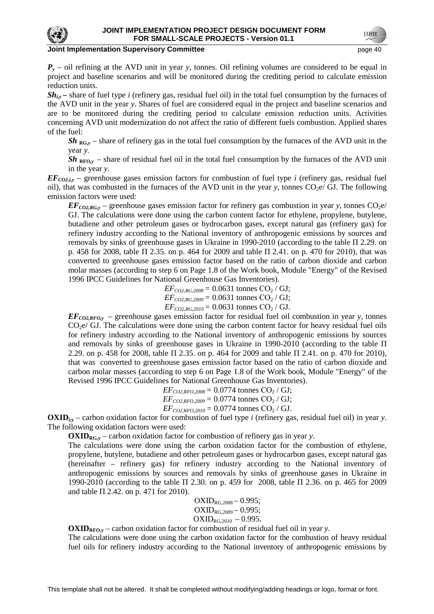

 $P_y$  – oil refining at the AVD unit in year *y*, tonnes. Oil refining volumes are considered to be equal in project and baseline scenarios and will be monitored during the crediting period to calculate emission reduction units.

 $\mathbf{Sh}_{iv}$  – share of fuel type *i* (refinery gas, residual fuel oil) in the total fuel consumption by the furnaces of the AVD unit in the year *y*. Shares of fuel are considered equal in the project and baseline scenarios and are to be monitored during the crediting period to calculate emission reduction units. Activities concerning AVD unit modernization do not affect the ratio of different fuels combustion. Applied shares of the fuel:

 $Sh_{RG,y}$  – share of refinery gas in the total fuel consumption by the furnaces of the AVD unit in the year *y.* 

 $Sh_{RFO,y}$  – share of residual fuel oil in the total fuel consumption by the furnaces of the AVD unit in the year *y.* 

 $EF_{CO2,iy}$  – greenhouse gases emission factors for combustion of fuel type *i* (refinery gas, residual fuel oil), that was combusted in the furnaces of the AVD unit in the year  $y$ , tonnes  $CO<sub>2</sub>e/GJ$ . The following emission factors were used:

 $EF_{CO2,RG}$ , – greenhouse gases emission factor for refinery gas combustion in year *y*, tonnes CO<sub>2</sub>e/ GJ. The calculations were done using the carbon content factor for ethylene, propylene, butylene, butadiene and other petroleum gases or hydrocarbon gases, except natural gas (refinery gas) for refinery industry according to the National inventory of anthropogenic emissions by sources and removals by sinks of greenhouse gases in Ukraine in 1990-2010 (according to the table П 2.29. on p. 458 for 2008, table П 2.35. on p. 464 for 2009 and table П 2.41. on p. 470 for 2010), that was converted to greenhouse gases emission factor based on the ratio of carbon dioxide and carbon molar masses (according to step 6 on Page 1.8 of the Work book, Module "Energy" of the Revised 1996 IPCC Guidelines for National Greenhouse Gas Inventories).

> $EF_{CO2, RG,2008} = 0.0631$  tonnes  $CO_2 / GI$ ;  $EF_{CO2,RG,2009} = 0.0631$  tonnes  $CO_2 / GI$ ;  $EF_{CO2, RG, 2010} = 0.0631$  tonnes  $CO_2 / GI$ .

 $EF_{CO2,RFO_y}$  – greenhouse gases emission factor for residual fuel oil combustion in year y, tonnes  $CO<sub>2</sub>e/GJ$ . The calculations were done using the carbon content factor for heavy residual fuel oils for refinery industry according to the National inventory of anthropogenic emissions by sources and removals by sinks of greenhouse gases in Ukraine in 1990-2010 (according to the table  $\Pi$ 2.29. on p. 458 for 2008, table П 2.35. on p. 464 for 2009 and table П 2.41. on p. 470 for 2010), that was converted to greenhouse gases emission factor based on the ratio of carbon dioxide and carbon molar masses (according to step 6 on Page 1.8 of the Work book, Module "Energy" of the Revised 1996 IPCC Guidelines for National Greenhouse Gas Inventories).

 $EF_{CO2,RFO,2008} = 0.0774$  tonnes  $CO_2 / GI$ ;  $EF_{CO2,RFO,2009} = 0.0774$  tonnes CO<sub>2</sub> / GJ;  $EF_{CO2,RFO,2010} = 0.0774$  tonnes  $CO_2/GJ$ .

**OXIDi,y** – carbon oxidation factor for combustion of fuel type *i* (refinery gas, residual fuel oil) in year *y*. The following oxidation factors were used:

**OXID**<sub>RG,y</sub> – carbon oxidation factor for combustion of refinery gas in year *y*.

The calculations were done using the carbon oxidation factor for the combustion of ethylene, propylene, butylene, butadiene and other petroleum gases or hydrocarbon gases, except natural gas (hereinafter – refinery gas) for refinery industry according to the National inventory of anthropogenic emissions by sources and removals by sinks of greenhouse gases in Ukraine in 1990-2010 (according to the table П 2.30. on p. 459 for 2008, table П 2.36. on p. 465 for 2009 and table  $\Pi$  2.42. on p. 471 for 2010).

> $OXID_{RG,2008} - 0.995;$  $OXID_{RG,2009} - 0.995;$  $OXID_{RG,2010} - 0.995.$

 $OXID_{RFO,y}$  – carbon oxidation factor for combustion of residual fuel oil in year *y*.

The calculations were done using the carbon oxidation factor for the combustion of heavy residual fuel oils for refinery industry according to the National inventory of anthropogenic emissions by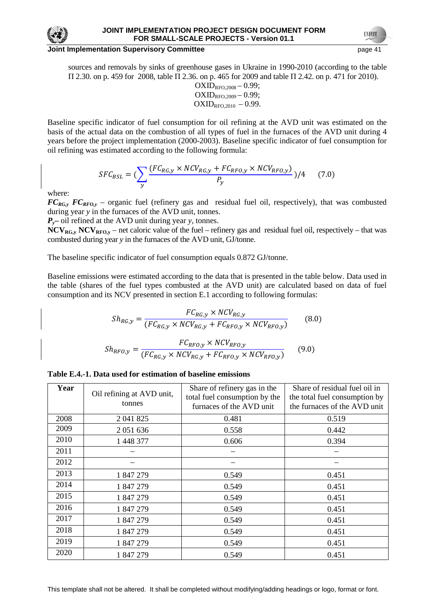

#### **Joint Implementation Supervisory Committee** *page 41* **and the page 41 and the page 41 and the page 41 and the page 41 and the page 41 and the page 41 and the page 41 and the page 41 and the page 41 and the page 41 and the**

sources and removals by sinks of greenhouse gases in Ukraine in 1990-2010 (according to the table П 2.30. on p. 459 for 2008, table П 2.36. on p. 465 for 2009 and table П 2.42. on p. 471 for 2010).

$$
\begin{array}{c} OXID_{\rm RFO,2008} - 0.99; \\ OXID_{\rm RFO,2009} - 0.99; \\ OXID_{\rm RFO,2010} - 0.99. \end{array}
$$

Baseline specific indicator of fuel consumption for oil refining at the AVD unit was estimated on the basis of the actual data on the combustion of all types of fuel in the furnaces of the AVD unit during 4 years before the project implementation (2000-2003). Baseline specific indicator of fuel consumption for oil refining was estimated according to the following formula:

$$
SFC_{BSL} = \left(\sum_{y} \frac{(FC_{RG,y} \times NCV_{RG,y} + FC_{RFO,y} \times NCV_{RFO,y})}{P_y}\right) / 4 \tag{7.0}
$$

where:

 $FC_{RG,y}$  *FC*<sub>*RFO,y*</sub> – organic fuel (refinery gas and residual fuel oil, respectively), that was combusted during year *y* in the furnaces of the AVD unit, tonnes.

*Py***–** oil refined at the AVD unit during year *y*, tonnes.

**NCVRG,y NCVRFO,y** – net caloric value of the fuel – refinery gas and residual fuel oil, respectively – that was combusted during year *y* in the furnaces of the AVD unit, GJ/tonne.

The baseline specific indicator of fuel consumption equals 0.872 GJ/tonne.

Baseline emissions were estimated according to the data that is presented in the table below. Data used in the table (shares of the fuel types combusted at the AVD unit) are calculated based on data of fuel consumption and its NCV presented in section E.1 according to following formulas:

$$
Sh_{RG,y} = \frac{FC_{RG,y} \times NCV_{RG,y}}{(FC_{RG,y} \times NCV_{RG,y} + FC_{RFO,y} \times NCV_{RFO,y})}
$$
(8.0)  

$$
Sh_{RFO,y} = \frac{FC_{RG,y} \times NCV_{RG,y} \times NCV_{RFO,y}}{(FC_{RG,y} \times NCV_{RG,y} + FC_{RFO,y} \times NCV_{RFO,y})}
$$
(9.0)

|  |  |  |  |  |  |  |  | Table E.4.-1. Data used for estimation of baseline emissions |  |  |  |
|--|--|--|--|--|--|--|--|--------------------------------------------------------------|--|--|--|
|--|--|--|--|--|--|--|--|--------------------------------------------------------------|--|--|--|

| Year | Oil refining at AVD unit,<br>tonnes | Share of refinery gas in the<br>total fuel consumption by the<br>furnaces of the AVD unit | Share of residual fuel oil in<br>the total fuel consumption by<br>the furnaces of the AVD unit |
|------|-------------------------------------|-------------------------------------------------------------------------------------------|------------------------------------------------------------------------------------------------|
| 2008 | 2 041 825                           | 0.481                                                                                     | 0.519                                                                                          |
| 2009 | 2 0 5 1 6 3 6                       | 0.558                                                                                     | 0.442                                                                                          |
| 2010 | 1 448 377                           | 0.606                                                                                     | 0.394                                                                                          |
| 2011 |                                     |                                                                                           |                                                                                                |
| 2012 |                                     |                                                                                           |                                                                                                |
| 2013 | 1847279                             | 0.549                                                                                     | 0.451                                                                                          |
| 2014 | 1847279                             | 0.549                                                                                     | 0.451                                                                                          |
| 2015 | 1 847 279                           | 0.549                                                                                     | 0.451                                                                                          |
| 2016 | 1847279                             | 0.549                                                                                     | 0.451                                                                                          |
| 2017 | 1847279                             | 0.549                                                                                     | 0.451                                                                                          |
| 2018 | 1847279                             | 0.549                                                                                     | 0.451                                                                                          |
| 2019 | 1847279                             | 0.549                                                                                     | 0.451                                                                                          |
| 2020 | 1847279                             | 0.549                                                                                     | 0.451                                                                                          |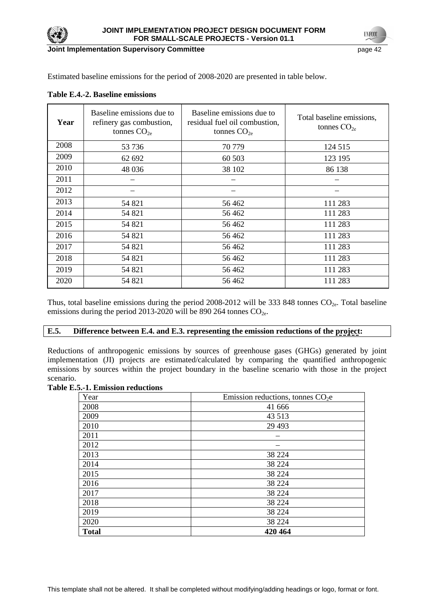

**Joint Implementation Supervisory Committee page 42 page 42 page 42** 

**UNFCC** 

Estimated baseline emissions for the period of 2008-2020 are presented in table below.

| Year | Baseline emissions due to<br>refinery gas combustion,<br>tonnes $CO2e$ | Baseline emissions due to<br>residual fuel oil combustion,<br>tonnes $CO2e$ | Total baseline emissions,<br>tonnes $CO2e$ |
|------|------------------------------------------------------------------------|-----------------------------------------------------------------------------|--------------------------------------------|
| 2008 | 53 736                                                                 | 70 779                                                                      | 124 515                                    |
| 2009 | 62 692                                                                 | 60 503                                                                      | 123 195                                    |
| 2010 | 48 0 36                                                                | 38 102                                                                      | 86 138                                     |
| 2011 |                                                                        |                                                                             |                                            |
| 2012 |                                                                        |                                                                             |                                            |
| 2013 | 54 821                                                                 | 56462                                                                       | 111 283                                    |
| 2014 | 54 821                                                                 | 56462                                                                       | 111 283                                    |
| 2015 | 54 821                                                                 | 56462                                                                       | 111 283                                    |
| 2016 | 54 821                                                                 | 56462                                                                       | 111 283                                    |
| 2017 | 54 821                                                                 | 56 4 62                                                                     | 111 283                                    |
| 2018 | 54 821                                                                 | 56462                                                                       | 111 283                                    |
| 2019 | 54 821                                                                 | 56462                                                                       | 111 283                                    |
| 2020 | 54 821                                                                 | 56462                                                                       | 111 283                                    |

**Table E.4.-2. Baseline emissions**

Thus, total baseline emissions during the period  $2008-2012$  will be 333 848 tonnes  $CO<sub>2e</sub>$ . Total baseline emissions during the period 2013-2020 will be 890 264 tonnes  $CO_{2e}$ .

### **E.5. Difference between E.4. and E.3. representing the emission reductions of the project:**

Reductions of anthropogenic emissions by sources of greenhouse gases (GHGs) generated by joint implementation (JI) projects are estimated/calculated by comparing the quantified anthropogenic emissions by sources within the project boundary in the baseline scenario with those in the project scenario.

#### **Table E.5.-1. Emission reductions**

| Year         | Emission reductions, tonnes $CO2e$ |
|--------------|------------------------------------|
| 2008         | 41 666                             |
| 2009         | 43 5 13                            |
| 2010         | 29 4 93                            |
| 2011         |                                    |
| 2012         |                                    |
| 2013         | 38 224                             |
| 2014         | 38 224                             |
| 2015         | 38 224                             |
| 2016         | 38 224                             |
| 2017         | 38 224                             |
| 2018         | 38 224                             |
| 2019         | 38 224                             |
| 2020         | 38 224                             |
| <b>Total</b> | 420 464                            |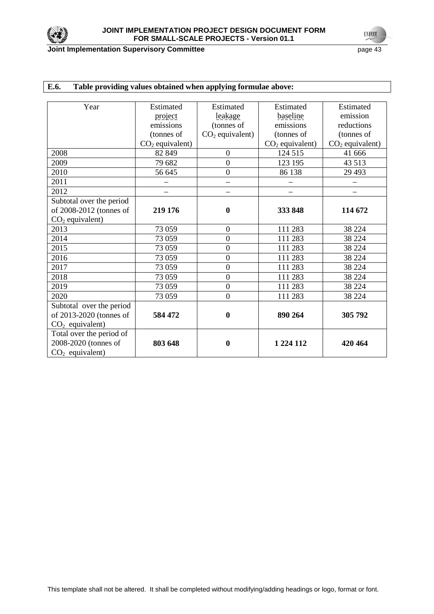

**UNFCCC** 

| E.6.<br>Table providing values obtained when applying formulae above: |                   |                          |                          |                   |  |  |  |
|-----------------------------------------------------------------------|-------------------|--------------------------|--------------------------|-------------------|--|--|--|
|                                                                       |                   |                          |                          |                   |  |  |  |
| Year                                                                  | Estimated         | Estimated                | Estimated                | Estimated         |  |  |  |
|                                                                       | project           | leakage                  | baseline                 | emission          |  |  |  |
|                                                                       | emissions         | (tonnes of               | emissions                | reductions        |  |  |  |
|                                                                       | (tonnes of        | $CO2$ equivalent)        | (tonnes of               | (tonnes of        |  |  |  |
|                                                                       | $CO2$ equivalent) |                          | $CO2$ equivalent)        | $CO2$ equivalent) |  |  |  |
| 2008                                                                  | 82 849            | $\boldsymbol{0}$         | 124 515                  | 41 666            |  |  |  |
| 2009                                                                  | 79 682            | $\overline{0}$           | 123 195                  | 43 513            |  |  |  |
| 2010                                                                  | 56 645            | $\boldsymbol{0}$         | 86 138                   | 29 4 93           |  |  |  |
| 2011                                                                  |                   | $\overline{\phantom{0}}$ |                          |                   |  |  |  |
| 2012                                                                  |                   |                          | $\overline{\phantom{0}}$ |                   |  |  |  |
| Subtotal over the period                                              |                   |                          |                          |                   |  |  |  |
| of 2008-2012 (tonnes of                                               | 219 176           | $\bf{0}$                 | 333 848                  | 114 672           |  |  |  |
| $CO2$ equivalent)                                                     |                   |                          |                          |                   |  |  |  |
| 2013                                                                  | 73 059            | $\boldsymbol{0}$         | 111 283                  | 38 224            |  |  |  |
| 2014                                                                  | 73 059            | $\overline{0}$           | 111 283                  | 38 224            |  |  |  |
| 2015                                                                  | 73 059            | $\overline{0}$           | 111 283                  | 38 224            |  |  |  |
| 2016                                                                  | 73 059            | $\overline{0}$           | 111 283                  | 38 224            |  |  |  |
| 2017                                                                  | 73 059            | $\overline{0}$           | 111 283                  | 38 224            |  |  |  |
| 2018                                                                  | 73 059            | $\overline{0}$           | 111 283                  | 38 224            |  |  |  |
| 2019                                                                  | 73 059            | $\overline{0}$           | 111 283                  | 38 224            |  |  |  |
| 2020                                                                  | 73 059            | $\overline{0}$           | 111 283                  | 38 224            |  |  |  |
| Subtotal over the period                                              |                   |                          |                          |                   |  |  |  |
| of 2013-2020 (tonnes of                                               | 584 472           | $\boldsymbol{0}$         | 890 264                  | 305 792           |  |  |  |
| $CO2$ equivalent)                                                     |                   |                          |                          |                   |  |  |  |
| Total over the period of                                              |                   |                          |                          |                   |  |  |  |
| 2008-2020 (tonnes of                                                  | 803 648           | $\bf{0}$                 | 1 224 112                | 420 464           |  |  |  |
| $CO2$ equivalent)                                                     |                   |                          |                          |                   |  |  |  |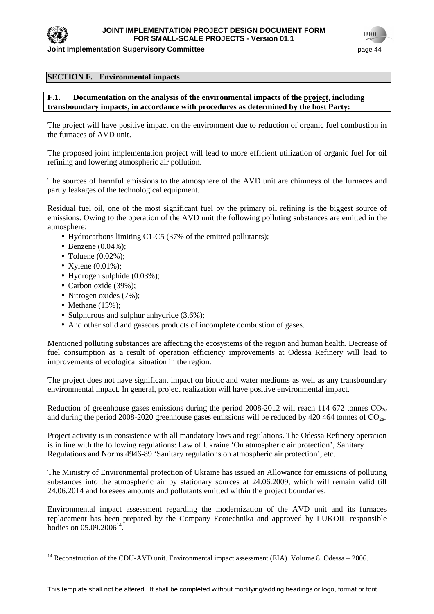

#### **SECTION F. Environmental impacts**

### **F.1. Documentation on the analysis of the environmental impacts of the project, including transboundary impacts, in accordance with procedures as determined by the host Party:**

The project will have positive impact on the environment due to reduction of organic fuel combustion in the furnaces of AVD unit.

The proposed joint implementation project will lead to more efficient utilization of organic fuel for oil refining and lowering atmospheric air pollution.

The sources of harmful emissions to the atmosphere of the AVD unit are chimneys of the furnaces and partly leakages of the technological equipment.

Residual fuel oil, one of the most significant fuel by the primary oil refining is the biggest source of emissions. Owing to the operation of the AVD unit the following polluting substances are emitted in the atmosphere:

- Hydrocarbons limiting C1-C5 (37% of the emitted pollutants);
- Benzene  $(0.04\%)$ ;
- Toluene  $(0.02\%)$ ;
- Xylene  $(0.01\%)$ ;
- Hydrogen sulphide (0.03%);
- Carbon oxide (39%);
- Nitrogen oxides (7%);
- Methane  $(13%)$ ;

 $\overline{a}$ 

- Sulphurous and sulphur anhydride  $(3.6\%)$ ;
- And other solid and gaseous products of incomplete combustion of gases.

Mentioned polluting substances are affecting the ecosystems of the region and human health. Decrease of fuel consumption as a result of operation efficiency improvements at Odessa Refinery will lead to improvements of ecological situation in the region.

The project does not have significant impact on biotic and water mediums as well as any transboundary environmental impact. In general, project realization will have positive environmental impact.

Reduction of greenhouse gases emissions during the period 2008-2012 will reach 114 672 tonnes  $CO<sub>2e</sub>$ and during the period 2008-2020 greenhouse gases emissions will be reduced by 420 464 tonnes of  $CO<sub>2</sub>$ .

Project activity is in consistence with all mandatory laws and regulations. The Odessa Refinery operation is in line with the following regulations: Law of Ukraine 'On atmospheric air protection', Sanitary Regulations and Norms 4946-89 'Sanitary regulations on atmospheric air protection', etc.

The Ministry of Environmental protection of Ukraine has issued an Allowance for emissions of polluting substances into the atmospheric air by stationary sources at 24.06.2009, which will remain valid till 24.06.2014 and foresees amounts and pollutants emitted within the project boundaries.

Environmental impact assessment regarding the modernization of the AVD unit and its furnaces replacement has been prepared by the Company Ecotechnika and approved by LUKOIL responsible bodies on  $05.09.2006^{14}$ .

<sup>&</sup>lt;sup>14</sup> Reconstruction of the CDU-AVD unit. Environmental impact assessment (EIA). Volume 8. Odessa – 2006.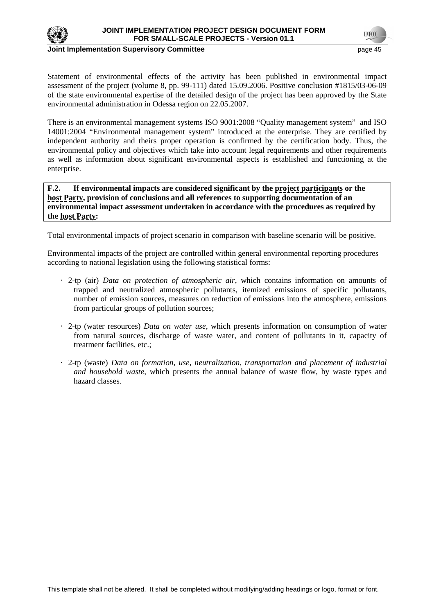

# **Joint Implementation Supervisory Committee** *page 15* **and the page 45 and the page 45 and the page 45 and the page 45 and the page 45 and the page 45 and the page 45 and the page 45 and the page 45 and the page 45 and the**

Statement of environmental effects of the activity has been published in environmental impact assessment of the project (volume 8, pp. 99-111) dated 15.09.2006. Positive conclusion #1815/03-06-09 of the state environmental expertise of the detailed design of the project has been approved by the State environmental administration in Odessa region on 22.05.2007.

There is an environmental management systems ISO 9001:2008 "Quality management system" and ISO 14001:2004 "Environmental management system" introduced at the enterprise. They are certified by independent authority and theirs proper operation is confirmed by the certification body. Thus, the environmental policy and objectives which take into account legal requirements and other requirements as well as information about significant environmental aspects is established and functioning at the enterprise.

**F.2. If environmental impacts are considered significant by the project participants or the host Party, provision of conclusions and all references to supporting documentation of an environmental impact assessment undertaken in accordance with the procedures as required by the host Party:** 

Total environmental impacts of project scenario in comparison with baseline scenario will be positive.

Environmental impacts of the project are controlled within general environmental reporting procedures according to national legislation using the following statistical forms:

- · 2-tp (air) *Data on protection of atmospheric air*, which contains information on amounts of trapped and neutralized atmospheric pollutants, itemized emissions of specific pollutants, number of emission sources, measures on reduction of emissions into the atmosphere, emissions from particular groups of pollution sources;
- · 2-tp (water resources) *Data on water use*, which presents information on consumption of water from natural sources, discharge of waste water, and content of pollutants in it, capacity of treatment facilities, etc.;
- · 2-tp (waste) *Data on formation, use, neutralization, transportation and placement of industrial and household waste*, which presents the annual balance of waste flow, by waste types and hazard classes.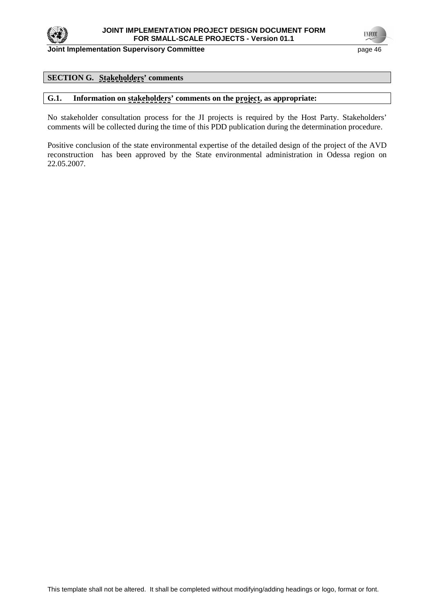

**UNFCC** 

### **SECTION G. Stakeholders' comments**

### **G.1. Information on stakeholders' comments on the project, as appropriate:**

No stakeholder consultation process for the JI projects is required by the Host Party. Stakeholders' comments will be collected during the time of this PDD publication during the determination procedure.

Positive conclusion of the state environmental expertise of the detailed design of the project of the AVD reconstruction has been approved by the State environmental administration in Odessa region on 22.05.2007.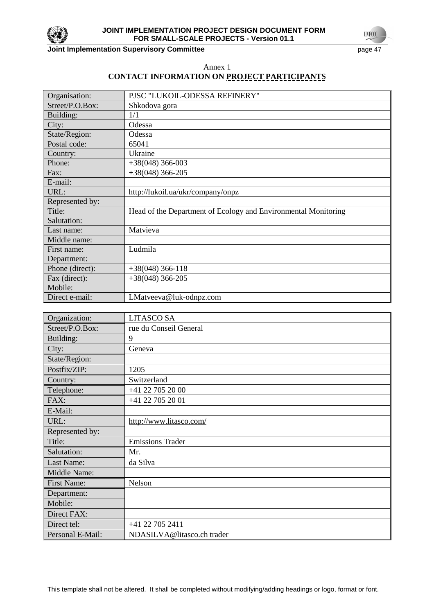

**Joint Implementation Supervisory Committee** page 47

**UNFCC** 

# Annex 1 **CONTACT INFORMATION ON PROJECT PARTICIPANTS**

| Organisation:   | PJSC "LUKOIL-ODESSA REFINERY"                                  |
|-----------------|----------------------------------------------------------------|
| Street/P.O.Box: | Shkodova gora                                                  |
| Building:       | 1/1                                                            |
| City:           | Odessa                                                         |
| State/Region:   | Odessa                                                         |
| Postal code:    | 65041                                                          |
| Country:        | Ukraine                                                        |
| Phone:          | $+38(048)$ 366-003                                             |
| Fax:            | $+38(048)$ 366-205                                             |
| E-mail:         |                                                                |
| URL:            | http://lukoil.ua/ukr/company/onpz                              |
| Represented by: |                                                                |
| Title:          | Head of the Department of Ecology and Environmental Monitoring |
| Salutation:     |                                                                |
| Last name:      | Matvieva                                                       |
| Middle name:    |                                                                |
| First name:     | Ludmila                                                        |
| Department:     |                                                                |
| Phone (direct): | $+38(048)$ 366-118                                             |
| Fax (direct):   | $+38(048)$ 366-205                                             |
| Mobile:         |                                                                |
| Direct e-mail:  | LMatveeva@luk-odnpz.com                                        |

| Organization:      | <b>LITASCO SA</b>          |
|--------------------|----------------------------|
| Street/P.O.Box:    | rue du Conseil General     |
| Building:          | 9                          |
| City:              | Geneva                     |
| State/Region:      |                            |
| Postfix/ZIP:       | 1205                       |
| Country:           | Switzerland                |
| Telephone:         | +41 22 705 20 00           |
| FAX:               | +41 22 705 20 01           |
| E-Mail:            |                            |
| URL:               | http://www.litasco.com/    |
| Represented by:    |                            |
| Title:             | <b>Emissions Trader</b>    |
| Salutation:        | Mr.                        |
| Last Name:         | da Silva                   |
| Middle Name:       |                            |
| <b>First Name:</b> | Nelson                     |
| Department:        |                            |
| Mobile:            |                            |
| Direct FAX:        |                            |
| Direct tel:        | +41 22 705 2411            |
| Personal E-Mail:   | NDASILVA@litasco.ch trader |